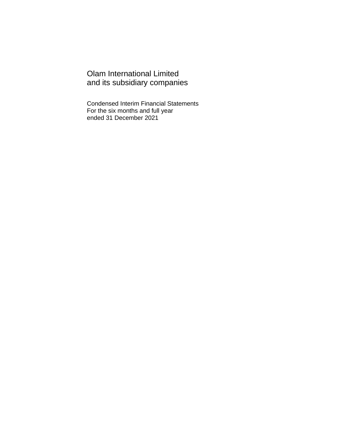Olam International Limited and its subsidiary companies

Condensed Interim Financial Statements For the six months and full year ended 31 December 2021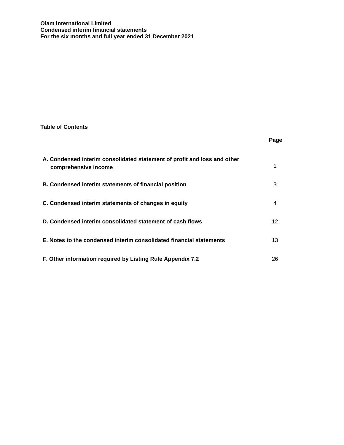## **Table of Contents**

|                                                                                                  | Page |
|--------------------------------------------------------------------------------------------------|------|
| A. Condensed interim consolidated statement of profit and loss and other<br>comprehensive income |      |
| B. Condensed interim statements of financial position                                            | 3    |
| C. Condensed interim statements of changes in equity                                             | 4    |
| D. Condensed interim consolidated statement of cash flows                                        | 12   |
| E. Notes to the condensed interim consolidated financial statements                              | 13   |
| F. Other information required by Listing Rule Appendix 7.2                                       | 26   |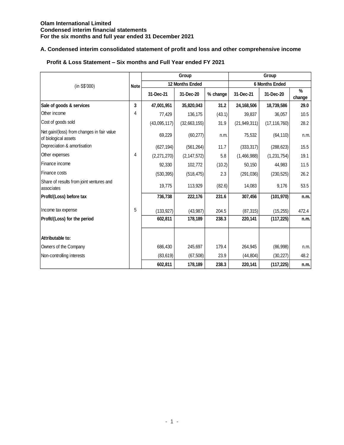# **A. Condensed interim consolidated statement of profit and loss and other comprehensive income**

|                                                                    |             |              | Group                  |          |                | Group                 |                |
|--------------------------------------------------------------------|-------------|--------------|------------------------|----------|----------------|-----------------------|----------------|
| (in S\$'000)                                                       | <b>Note</b> |              | <b>12 Months Ended</b> |          |                | <b>6 Months Ended</b> |                |
|                                                                    |             | 31-Dec-21    | 31-Dec-20              | % change | 31-Dec-21      | 31-Dec-20             | $\%$<br>change |
| Sale of goods & services                                           | 3           | 47,001,951   | 35,820,043             | 31.2     | 24,168,506     | 18,739,586            | 29.0           |
| Other income                                                       | 4           | 77,429       | 136,175                | (43.1)   | 39,837         | 36,057                | 10.5           |
| Cost of goods sold                                                 |             | (43,095,117) | (32,663,155)           | 31.9     | (21, 949, 311) | (17, 116, 760)        | 28.2           |
| Net gain/(loss) from changes in fair value<br>of biological assets |             | 69,229       | (60, 277)              | n.m.     | 75,532         | (64, 110)             | n.m.           |
| Depreciation & amortisation                                        |             | (627, 194)   | (561, 264)             | 11.7     | (333, 317)     | (288, 623)            | 15.5           |
| Other expenses                                                     | 4           | (2,271,270)  | (2, 147, 572)          | 5.8      | (1,466,988)    | (1,231,754)           | 19.1           |
| Finance income                                                     |             | 92,330       | 102,772                | (10.2)   | 50,150         | 44,983                | 11.5           |
| Finance costs                                                      |             | (530, 395)   | (518, 475)             | 2.3      | (291, 036)     | (230, 525)            | 26.2           |
| Share of results from joint ventures and<br>lassociates            |             | 19,775       | 113,929                | (82.6)   | 14,083         | 9,176                 | 53.5           |
| Profit/(Loss) before tax                                           |             | 736,738      | 222,176                | 231.6    | 307,456        | (101, 970)            | n.m.           |
| Income tax expense                                                 | 5           | (133, 927)   | (43, 987)              | 204.5    | (87, 315)      | (15, 255)             | 472.4          |
| Profit/(Loss) for the period                                       |             | 602,811      | 178,189                | 238.3    | 220,141        | (117, 225)            | n.m.           |
| Attributable to:                                                   |             |              |                        |          |                |                       |                |
| Owners of the Company                                              |             | 686,430      | 245,697                | 179.4    | 264,945        | (86,998)              | n.m.           |
| Non-controlling interests                                          |             | (83, 619)    | (67, 508)              | 23.9     | (44, 804)      | (30, 227)             | 48.2           |
|                                                                    |             | 602,811      | 178,189                | 238.3    | 220,141        | (117, 225)            | n.m.           |

# **Profit & Loss Statement – Six months and Full Year ended FY 2021**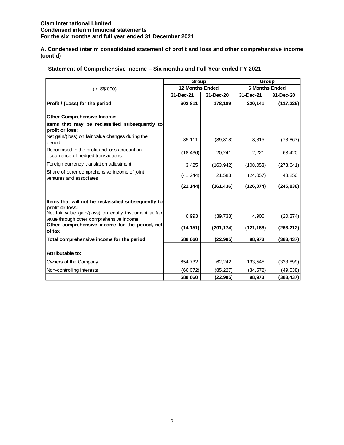**A. Condensed interim consolidated statement of profit and loss and other comprehensive income (cont'd)**

|  | Statement of Comprehensive Income - Six months and Full Year ended FY 2021 |  |  |  |
|--|----------------------------------------------------------------------------|--|--|--|
|--|----------------------------------------------------------------------------|--|--|--|

|                                                                                                                        | Group                  |            |            | Group                 |
|------------------------------------------------------------------------------------------------------------------------|------------------------|------------|------------|-----------------------|
| (in S\$'000)                                                                                                           | <b>12 Months Ended</b> |            |            | <b>6 Months Ended</b> |
|                                                                                                                        | 31-Dec-21              | 31-Dec-20  | 31-Dec-21  | 31-Dec-20             |
| Profit / (Loss) for the period                                                                                         | 602,811                | 178,189    | 220,141    | (117, 225)            |
| <b>Other Comprehensive Income:</b>                                                                                     |                        |            |            |                       |
| Items that may be reclassified subsequently to<br>profit or loss:                                                      |                        |            |            |                       |
| Net gain/(loss) on fair value changes during the<br>period                                                             | 35,111                 | (39, 318)  | 3,815      | (78, 867)             |
| Recognised in the profit and loss account on<br>occurrence of hedged transactions                                      | (18, 436)              | 20,241     | 2,221      | 63,420                |
| Foreign currency translation adjustment                                                                                | 3,425                  | (163, 942) | (108, 053) | (273, 641)            |
| Share of other comprehensive income of joint<br>ventures and associates                                                | (41, 244)              | 21,583     | (24, 057)  | 43,250                |
|                                                                                                                        | (21, 144)              | (161, 436) | (126, 074) | (245, 838)            |
| Items that will not be reclassified subsequently to                                                                    |                        |            |            |                       |
| profit or loss:<br>Net fair value gain/(loss) on equity instrument at fair<br>value through other comprehensive income | 6,993                  | (39, 738)  | 4,906      | (20, 374)             |
| Other comprehensive income for the period, net<br>of tax                                                               | (14, 151)              | (201, 174) | (121, 168) | (266, 212)            |
| Total comprehensive income for the period                                                                              | 588,660                | (22, 985)  | 98,973     | (383, 437)            |
| Attributable to:                                                                                                       |                        |            |            |                       |
| Owners of the Company                                                                                                  | 654,732                | 62,242     | 133,545    | (333, 899)            |
| Non-controlling interests                                                                                              | (66,072)               | (85, 227)  | (34, 572)  | (49, 538)             |
|                                                                                                                        | 588,660                | (22, 985)  | 98.973     | (383, 437)            |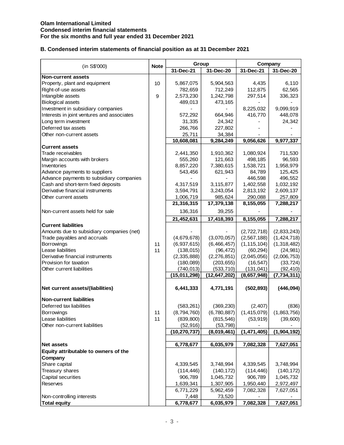# **B. Condensed interim statements of financial position as at 31 December 2021**

|                                                                          |             |              | Group        | Company                      |                            |  |  |
|--------------------------------------------------------------------------|-------------|--------------|--------------|------------------------------|----------------------------|--|--|
| (in S\$'000)                                                             | <b>Note</b> | 31-Dec-21    | 31-Dec-20    | 31-Dec-21                    | 31-Dec-20                  |  |  |
| <b>Non-current assets</b>                                                |             |              |              |                              |                            |  |  |
| Property, plant and equipment                                            | 10          | 5,867,075    | 5,904,563    | 4,435                        | 6,110                      |  |  |
| Right-of-use assets                                                      |             | 782,659      | 712,249      | 112,875                      | 62,565                     |  |  |
| Intangible assets                                                        | 9           | 2,573,230    | 1,242,798    | 297,514                      | 336,323                    |  |  |
| <b>Biological assets</b>                                                 |             | 489,013      | 473,165      |                              |                            |  |  |
| Investment in subsidiary companies                                       |             |              |              | 8,225,032                    | 9,099,919                  |  |  |
| Interests in joint ventures and associates                               |             | 572,292      | 664,946      | 416,770                      | 448,078                    |  |  |
| Long term investment                                                     |             | 31,335       | 24,342       |                              | 24,342                     |  |  |
| Deferred tax assets                                                      |             | 266,766      | 227,802      |                              |                            |  |  |
| Other non-current assets                                                 |             | 25,711       | 34,384       |                              |                            |  |  |
|                                                                          |             | 10,608,081   | 9,284,249    | 9,056,626                    | 9,977,337                  |  |  |
| <b>Current assets</b>                                                    |             |              |              |                              |                            |  |  |
| Trade receivables                                                        |             | 2,441,350    | 1,910,362    | 1,080,924                    | 711,530                    |  |  |
| Margin accounts with brokers                                             |             | 555,260      | 121,663      | 498,185                      | 96,593                     |  |  |
| Inventories                                                              |             | 8,857,220    | 7,380,615    | 1,538,721                    | 1,958,979                  |  |  |
| Advance payments to suppliers                                            |             | 543,456      | 621,943      | 84,789                       | 125,425                    |  |  |
| Advance payments to subsidiary companies                                 |             |              |              | 446,598                      | 496,552                    |  |  |
| Cash and short-term fixed deposits                                       |             | 4,317,519    | 3,115,877    | 1,402,558                    | 1,032,192                  |  |  |
| Derivative financial instruments                                         |             | 3,594,791    | 3,243,054    | 2,813,192                    | 2,609,137                  |  |  |
| Other current assets                                                     |             | 1,006,719    | 985,624      | 290,088                      | 257,809                    |  |  |
|                                                                          |             | 21,316,315   | 17,379,138   | 8,155,055                    | 7,288,217                  |  |  |
| Non-current assets held for sale                                         |             | 136,316      | 39,255       |                              |                            |  |  |
|                                                                          |             | 21,452,631   | 17,418,393   | 8,155,055                    | 7,288,217                  |  |  |
| <b>Current liabilities</b>                                               |             |              |              |                              |                            |  |  |
| Amounts due to subsidiary companies (net)<br>Trade payables and accruals |             | (4,679,678)  | (3,070,057)  | (2,722,718)<br>(2, 567, 188) | (2,833,243)<br>(1,424,718) |  |  |
| Borrowings                                                               | 11          | (6,937,615)  | (6,466,457)  | (1, 115, 104)                | (1,318,482)                |  |  |
| Lease liabilities                                                        | 11          | (138, 015)   | (96, 472)    | (60, 294)                    | (24, 981)                  |  |  |
| Derivative financial instruments                                         |             | (2,335,888)  | (2,276,851)  | (2,045,056)                  | (2,006,753)                |  |  |
| Provision for taxation                                                   |             | (180,089)    | (203, 655)   | (16, 547)                    | (33, 724)                  |  |  |
| Other current liabilities                                                |             | (740, 013)   | (533, 710)   | (131, 041)                   | (92, 410)                  |  |  |
|                                                                          |             | (15,011,298) | (12,647,202) | (8,657,948)                  | (7, 734, 311)              |  |  |
|                                                                          |             |              |              |                              |                            |  |  |
| Net current assets/(liabilities)                                         |             | 6,441,333    | 4,771,191    | (502, 893)                   | (446,094)                  |  |  |
| <b>Non-current liabilities</b>                                           |             |              |              |                              |                            |  |  |
| Deferred tax liabilities                                                 |             | (583, 261)   | (369, 230)   | (2, 407)                     | (836)                      |  |  |
| Borrowings                                                               | 11          | (8,794,760)  | (6,780,887)  | (1,415,079)                  | (1,863,756)                |  |  |
| Lease liabilities                                                        | 11          | (839, 800)   | (815, 546)   | (53, 919)                    | (39,600)                   |  |  |
| Other non-current liabilities                                            |             | (52, 916)    | (53, 798)    |                              |                            |  |  |
|                                                                          |             | (10,270,737) | (8,019,461)  | (1, 471, 405)                | (1,904,192)                |  |  |
|                                                                          |             |              |              |                              |                            |  |  |
| <b>Net assets</b>                                                        |             | 6,778,677    | 6,035,979    | 7,082,328                    | 7,627,051                  |  |  |
| Equity attributable to owners of the                                     |             |              |              |                              |                            |  |  |
| Company                                                                  |             |              |              |                              |                            |  |  |
| Share capital                                                            |             | 4,339,545    | 3,748,994    | 4,339,545                    | 3,748,994                  |  |  |
| Treasury shares                                                          |             | (114, 446)   | (140, 172)   | (114, 446)                   | (140, 172)                 |  |  |
| Capital securities                                                       |             | 906,789      | 1,045,732    | 906,789                      | 1,045,732                  |  |  |
| Reserves                                                                 |             | 1,639,341    | 1,307,905    | 1,950,440                    | 2,972,497                  |  |  |
|                                                                          |             | 6,771,229    | 5,962,459    | 7,082,328                    | 7,627,051                  |  |  |
| Non-controlling interests                                                |             | 7,448        | 73,520       |                              |                            |  |  |
| <b>Total equity</b>                                                      |             | 6,778,677    | 6,035,979    | 7,082,328                    | 7,627,051                  |  |  |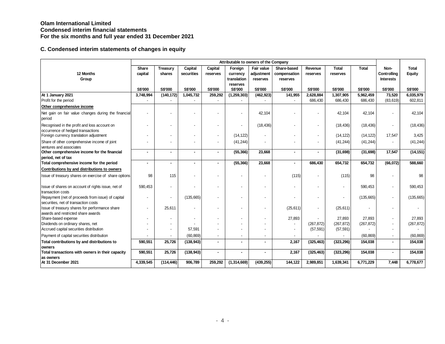|                                                                                           | Attributable to owners of the Company |                 |                |                          |                            |                |                          |                          |              |              |                          |                |  |
|-------------------------------------------------------------------------------------------|---------------------------------------|-----------------|----------------|--------------------------|----------------------------|----------------|--------------------------|--------------------------|--------------|--------------|--------------------------|----------------|--|
|                                                                                           | <b>Share</b>                          | <b>Treasury</b> | Capital        | Capital                  | Foreign                    | Fair value     | Share-based              | Revenue                  | <b>Total</b> | <b>Total</b> | Non-                     | <b>Total</b>   |  |
| 12 Months                                                                                 | capital                               | shares          | securities     | reserves                 | currency                   | adjustment     | compensation             | reserves                 | reserves     |              | Controlling              | Equity         |  |
| Group                                                                                     |                                       |                 |                |                          | translation                | reserves       | reserves                 |                          |              |              | <b>Interests</b>         |                |  |
|                                                                                           | S\$'000                               | S\$'000         | <b>S\$'000</b> | S\$'000                  | reserves<br><b>S\$'000</b> | S\$'000        | <b>S\$'000</b>           | S\$'000                  | S\$'000      | S\$'000      | S\$'000                  | <b>S\$'000</b> |  |
| At 1 January 2021                                                                         | 3,748,994                             | (140, 172)      | 1,045,732      | 259,292                  | (1, 259, 303)              | (462, 923)     | 141,955                  | 2,628,884                | 1,307,905    | 5,962,459    | 73,520                   | 6,035,979      |  |
| Profit for the period                                                                     |                                       |                 |                |                          |                            |                |                          | 686,430                  | 686,430      | 686,430      | (83, 619)                | 602,811        |  |
| Other comprehensive income                                                                |                                       |                 |                |                          |                            |                |                          |                          |              |              |                          |                |  |
| Net gain on fair value changes during the financial<br>period                             |                                       |                 |                |                          |                            | 42,104         |                          | $\blacksquare$           | 42,104       | 42,104       | $\overline{a}$           | 42,104         |  |
| Recognised in the profit and loss account on<br>occurrence of hedged transactions         |                                       |                 |                |                          |                            | (18, 436)      |                          |                          | (18, 436)    | (18, 436)    | $\overline{\phantom{a}}$ | (18, 436)      |  |
| Foreign currency translation adjustment                                                   |                                       |                 |                | $\overline{\phantom{a}}$ | (14, 122)                  |                | $\overline{\phantom{a}}$ | $\blacksquare$           | (14, 122)    | (14, 122)    | 17,547                   | 3,425          |  |
| Share of other comprehensive income of joint<br>ventures and associates                   |                                       |                 |                |                          | (41, 244)                  |                |                          |                          | (41, 244)    | (41, 244)    | $\blacksquare$           | (41, 244)      |  |
| Other comprehensive income for the financial<br>period, net of tax                        | ٠                                     | ٠               | $\sim$         |                          | (55, 366)                  | 23,668         | $\blacksquare$           | ٠                        | (31, 698)    | (31, 698)    | 17,547                   | (14, 151)      |  |
| Total comprehensive income for the period                                                 | ÷                                     | ÷               |                |                          | (55, 366)                  | 23,668         | $\sim$                   | 686,430                  | 654,732      | 654,732      | (66,072)                 | 588,660        |  |
| Contributions by and distributions to owners                                              |                                       |                 |                |                          |                            |                |                          |                          |              |              |                          |                |  |
| Issue of treasury shares on exercise of share options                                     | 98                                    | 115             |                |                          |                            |                | (115)                    |                          | (115)        | 98           |                          | 98             |  |
| Issue of shares on account of rights issue, net of<br>transaction costs                   | 590,453                               |                 |                |                          |                            |                |                          |                          |              | 590,453      | ٠                        | 590,453        |  |
| Repayment (net of proceeds from issue) of capital<br>securities, net of transaction costs |                                       |                 | (135, 665)     |                          |                            |                |                          |                          |              | (135, 665)   | $\blacksquare$           | (135,665)      |  |
| Issue of treasury shares for performance share<br>awards and restricted share awards      |                                       | 25,611          |                |                          |                            |                | (25, 611)                | $\overline{\phantom{a}}$ | (25, 611)    |              | ٠                        |                |  |
| Share-based expense                                                                       |                                       |                 |                |                          |                            |                | 27,893                   |                          | 27,893       | 27,893       | $\blacksquare$           | 27,893         |  |
| Dividends on ordinary shares, net                                                         |                                       |                 |                |                          |                            |                | $\overline{\phantom{a}}$ | (267, 872)               | (267, 872)   | (267, 872)   | $\blacksquare$           | (267, 872)     |  |
| Accrued capital securities distribution                                                   |                                       |                 | 57,591         |                          |                            |                | $\overline{\phantom{a}}$ | (57, 591)                | (57, 591)    |              | $\overline{\phantom{a}}$ |                |  |
| Payment of capital securities distribution                                                |                                       |                 | (60, 869)      |                          |                            |                |                          |                          |              | (60, 869)    | $\blacksquare$           | (60, 869)      |  |
| Total contributions by and distributions to                                               | 590,551                               | 25,726          | (138, 943)     |                          | ٠                          | $\blacksquare$ | 2,167                    | (325, 463)               | (323, 296)   | 154,038      | $\blacksquare$           | 154,038        |  |
| owners                                                                                    |                                       |                 |                |                          |                            |                |                          |                          |              |              |                          |                |  |
| Total transactions with owners in their capacity                                          | 590,551                               | 25,726          | (138, 943)     |                          | ٠                          | $\blacksquare$ | 2,167                    | (325, 463)               | (323, 296)   | 154,038      | $\blacksquare$           | 154,038        |  |
| as owners                                                                                 |                                       |                 |                |                          |                            |                |                          |                          |              |              |                          |                |  |
| At 31 December 2021                                                                       | 4,339,545                             | (114, 446)      | 906,789        | 259,292                  | (1,314,669)                | (439, 255)     | 144,122                  | 2,989,851                | 1,639,341    | 6,771,229    | 7,448                    | 6,778,677      |  |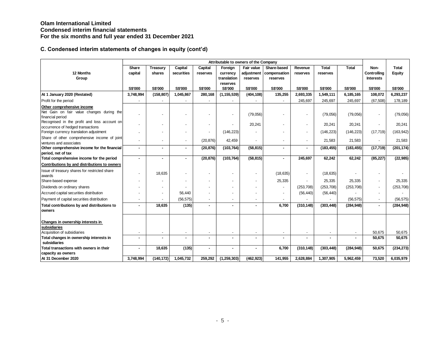|                                                                                  | Attributable to owners of the Company |                    |                       |                     |                                    |                                      |                                         |                          |                          |              |                                         |                               |  |
|----------------------------------------------------------------------------------|---------------------------------------|--------------------|-----------------------|---------------------|------------------------------------|--------------------------------------|-----------------------------------------|--------------------------|--------------------------|--------------|-----------------------------------------|-------------------------------|--|
| 12 Months<br>Group                                                               | Share<br>capital                      | Treasury<br>shares | Capital<br>securities | Capital<br>reserves | Foreign<br>currency<br>translation | Fair value<br>adjustment<br>reserves | Share-based<br>compensation<br>reserves | Revenue<br>reserves      | <b>Total</b><br>reserves | <b>Total</b> | Non-<br>Controlling<br><b>Interests</b> | <b>Total</b><br><b>Equity</b> |  |
|                                                                                  | <b>S\$'000</b>                        | S\$'000            | <b>S\$'000</b>        | <b>S\$'000</b>      | reserves<br><b>S\$'000</b>         | S\$'000                              | S\$'000                                 | <b>S\$'000</b>           | <b>S\$'000</b>           | S\$'000      | <b>S\$'000</b>                          | <b>S\$'000</b>                |  |
| At 1 January 2020 (Restated)                                                     | 3,748,994                             | (158, 807)         | 1,045,867             | 280,168             | (1, 155, 539)                      | (404, 108)                           | 135,255                                 | 2,693,335                | 1,549,111                | 6,185,165    | 108,072                                 | 6,293,237                     |  |
| Profit for the period                                                            |                                       |                    |                       |                     |                                    |                                      |                                         | 245,697                  | 245,697                  | 245,697      | (67, 508)                               | 178,189                       |  |
| Other comprehensive income                                                       |                                       |                    |                       |                     |                                    |                                      |                                         |                          |                          |              |                                         |                               |  |
| Net Gain on fair value changes during the                                        |                                       |                    |                       |                     |                                    | (79,056)                             |                                         | $\overline{\phantom{a}}$ | (79,056)                 | (79,056)     | $\overline{\phantom{a}}$                | (79, 056)                     |  |
| financial period<br>Recognised in the profit and loss account on                 |                                       |                    |                       |                     |                                    |                                      |                                         |                          |                          |              |                                         |                               |  |
| occurrence of hedged transactions                                                |                                       |                    |                       |                     |                                    | 20,241                               |                                         | $\blacksquare$           | 20,241                   | 20,241       | $\overline{\phantom{a}}$                | 20,241                        |  |
| Foreign currency translation adjustment                                          |                                       |                    |                       | ÷                   | (146, 223)                         |                                      |                                         | $\overline{\phantom{a}}$ | (146, 223)               | (146, 223)   | (17, 719)                               | (163, 942)                    |  |
| Share of other comprehensive income of joint                                     |                                       |                    | ÷                     | (20, 876)           | 42,459                             |                                      |                                         | $\overline{\phantom{a}}$ | 21,583                   | 21,583       | $\blacksquare$                          | 21,583                        |  |
| ventures and associates                                                          |                                       |                    |                       |                     |                                    |                                      |                                         |                          |                          |              |                                         |                               |  |
| Other comprehensive income for the financial                                     |                                       |                    | ٠                     | (20, 876)           | (103, 764)                         | (58, 815)                            | ٠                                       | ٠                        | (183, 455)               | (183, 455)   | (17, 719)                               | (201, 174)                    |  |
| period, net of tax<br>Total comprehensive income for the period                  |                                       |                    |                       | (20, 876)           | (103, 764)                         | (58, 815)                            | ٠                                       | 245,697                  | 62,242                   | 62,242       | (85, 227)                               | (22, 985)                     |  |
| Contributions by and distributions to owners                                     |                                       |                    |                       |                     |                                    |                                      |                                         |                          |                          |              |                                         |                               |  |
| Issue of treasury shares for restricted share                                    |                                       |                    |                       |                     |                                    |                                      |                                         |                          |                          |              |                                         |                               |  |
| awards                                                                           |                                       | 18,635             |                       |                     |                                    | $\blacksquare$                       | (18, 635)                               | $\overline{\phantom{a}}$ | (18, 635)                |              |                                         |                               |  |
| Share-based expense                                                              |                                       |                    |                       |                     |                                    |                                      | 25,335                                  |                          | 25,335                   | 25,335       | $\blacksquare$                          | 25,335                        |  |
| Dividends on ordinary shares                                                     |                                       |                    |                       |                     |                                    |                                      |                                         | (253, 708)               | (253, 708)               | (253, 708)   | $\blacksquare$                          | (253, 708)                    |  |
| Accrued capital securities distribution                                          |                                       |                    | 56.440                | ٠                   |                                    |                                      | $\overline{a}$                          | (56, 440)                | (56, 440)                |              |                                         |                               |  |
| Payment of capital securities distribution                                       |                                       |                    | (56, 575)             | ٠                   |                                    |                                      |                                         |                          |                          | (56, 575)    |                                         | (56, 575)                     |  |
| Total contributions by and distributions to                                      |                                       | 18,635             | (135)                 | ä,                  |                                    |                                      | 6,700                                   | (310, 148)               | (303, 448)               | (284, 948)   | $\blacksquare$                          | (284, 948)                    |  |
| owners                                                                           |                                       |                    |                       |                     |                                    |                                      |                                         |                          |                          |              |                                         |                               |  |
| Changes in ownership interests in<br>subsidiaries<br>Acquisition of subsidiaries |                                       |                    |                       |                     |                                    |                                      |                                         | $\blacksquare$           |                          |              | 50,675                                  | 50,675                        |  |
| Total changes in ownership interests in                                          |                                       |                    |                       | ۰                   |                                    |                                      | ۰                                       |                          |                          |              | 50,675                                  | 50,675                        |  |
| subsidiaries                                                                     |                                       |                    |                       |                     |                                    |                                      |                                         |                          |                          |              |                                         |                               |  |
| Total transactions with owners in their                                          |                                       | 18,635             | (135)                 | ۰                   |                                    |                                      | 6,700                                   | (310, 148)               | (303, 448)               | (284, 948)   | 50,675                                  | (234, 273)                    |  |
| capacity as owners                                                               |                                       |                    |                       |                     |                                    |                                      |                                         |                          |                          |              |                                         |                               |  |
| At 31 December 2020                                                              | 3,748,994                             | (140, 172)         | 1,045,732             | 259,292             | (1, 259, 303)                      | (462, 923)                           | 141,955                                 | 2,628,884                | 1,307,905                | 5,962,459    | 73,520                                  | 6,035,979                     |  |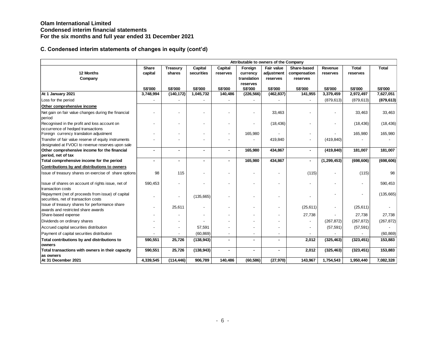|                                                                                                           | Attributable to owners of the Company |                          |                       |                     |                                    |                                             |                                         |                     |                          |              |  |  |  |
|-----------------------------------------------------------------------------------------------------------|---------------------------------------|--------------------------|-----------------------|---------------------|------------------------------------|---------------------------------------------|-----------------------------------------|---------------------|--------------------------|--------------|--|--|--|
| 12 Months<br>Company                                                                                      | Share<br>capital                      | Treasury<br>shares       | Capital<br>securities | Capital<br>reserves | Foreign<br>currency<br>translation | <b>Fair value</b><br>adjustment<br>reserves | Share-based<br>compensation<br>reserves | Revenue<br>reserves | <b>Total</b><br>reserves | <b>Total</b> |  |  |  |
|                                                                                                           | S\$'000                               | S\$'000                  | <b>S\$'000</b>        | <b>S\$'000</b>      | reserves<br>S\$'000                | S\$'000                                     | S\$'000                                 | S\$'000             | S\$'000                  | S\$'000      |  |  |  |
| At 1 January 2021                                                                                         | 3,748,994                             | (140, 172)               | 1,045,732             | 140,486             | (226, 566)                         | (462, 837)                                  | 141,955                                 | 3,379,459           | 2,972,497                | 7,627,051    |  |  |  |
| Loss for the period                                                                                       |                                       |                          |                       |                     |                                    |                                             |                                         | (879, 613)          | (879, 613)               | (879, 613)   |  |  |  |
| Other comprehensive income                                                                                |                                       |                          |                       |                     |                                    |                                             |                                         |                     |                          |              |  |  |  |
| Net gain on fair value changes during the financial<br>period                                             |                                       |                          |                       |                     |                                    | 33,463                                      |                                         |                     | 33,463                   | 33,463       |  |  |  |
| Recognised in the profit and loss account on<br>occurrence of hedged transactions                         |                                       |                          |                       |                     |                                    | (18, 436)                                   |                                         |                     | (18, 436)                | (18, 436)    |  |  |  |
| Foreign currency translation adjustment                                                                   |                                       |                          |                       |                     | 165,980                            |                                             |                                         |                     | 165,980                  | 165,980      |  |  |  |
| Transfer of fair value reserve of equity instruments<br>designated at FVOCI to revenue reserves upon sale |                                       |                          |                       |                     |                                    | 419,840                                     |                                         | (419, 840)          |                          |              |  |  |  |
| Other comprehensive income for the financial<br>period, net of tax                                        |                                       | $\overline{\phantom{a}}$ |                       | $\blacksquare$      | 165,980                            | 434,867                                     | $\blacksquare$                          | (419, 840)          | 181,007                  | 181,007      |  |  |  |
| Total comprehensive income for the period                                                                 | ۰.                                    | $\overline{\phantom{a}}$ | $\blacksquare$        |                     | 165,980                            | 434,867                                     | $\blacksquare$                          | (1, 299, 453)       | (698, 606)               | (698, 606)   |  |  |  |
| Contributions by and distributions to owners                                                              |                                       |                          |                       |                     |                                    |                                             |                                         |                     |                          |              |  |  |  |
| Issue of treasury shares on exercise of share options                                                     | 98                                    | 115                      |                       |                     |                                    |                                             | (115)                                   |                     | (115)                    | 98           |  |  |  |
| Issue of shares on account of rights issue, net of<br>transaction costs                                   | 590,453                               |                          |                       |                     |                                    |                                             |                                         |                     |                          | 590,453      |  |  |  |
| Repayment (net of proceeds from issue) of capital<br>securities, net of transaction costs                 |                                       |                          | (135, 665)            |                     |                                    |                                             |                                         |                     |                          | (135, 665)   |  |  |  |
| Issue of treasury shares for performance share<br>awards and restricted share awards                      |                                       | 25,611                   |                       |                     |                                    |                                             | (25, 611)                               |                     | (25, 611)                |              |  |  |  |
| Share-based expense                                                                                       |                                       |                          |                       |                     |                                    |                                             | 27,738                                  |                     | 27,738                   | 27,738       |  |  |  |
| Dividends on ordinary shares                                                                              |                                       |                          |                       |                     |                                    |                                             | $\blacksquare$                          | (267, 872)          | (267, 872)               | (267, 872)   |  |  |  |
| Accrued capital securities distribution                                                                   |                                       | $\overline{\phantom{a}}$ | 57,591                |                     |                                    | $\overline{\phantom{a}}$                    | $\blacksquare$                          | (57, 591)           | (57, 591)                |              |  |  |  |
| Payment of capital securities distribution                                                                |                                       |                          | (60, 869)             |                     |                                    | $\blacksquare$                              |                                         |                     |                          | (60, 869)    |  |  |  |
| Total contributions by and distributions to                                                               | 590,551                               | 25,726                   | (138, 943)            | ٠                   | $\blacksquare$                     | ٠                                           | 2,012                                   | (325, 463)          | (323, 451)               | 153,883      |  |  |  |
| owners                                                                                                    |                                       |                          |                       |                     |                                    |                                             |                                         |                     |                          |              |  |  |  |
| Total transactions with owners in their capacity<br>as owners                                             | 590,551                               | 25,726                   | (138, 943)            |                     |                                    |                                             | 2,012                                   | (325, 463)          | (323, 451)               | 153,883      |  |  |  |
| At 31 December 2021                                                                                       | 4,339,545                             | (114, 446)               | 906,789               | 140,486             | (60, 586)                          | (27, 970)                                   | 143,967                                 | 1,754,543           | 1,950,440                | 7,082,328    |  |  |  |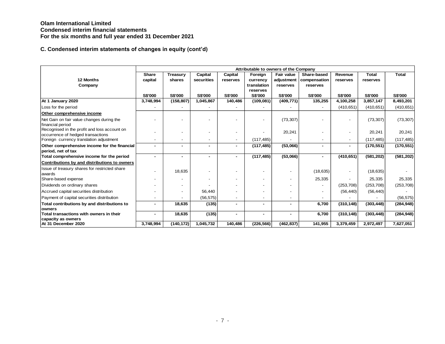|                                                                                   |                |                |                |                | Attributable to owners of the Company |                          |                          |                |                |                |
|-----------------------------------------------------------------------------------|----------------|----------------|----------------|----------------|---------------------------------------|--------------------------|--------------------------|----------------|----------------|----------------|
|                                                                                   | Share          | Treasury       | Capital        | Capital        | Foreign                               | Fair value               | Share-based              | Revenue        | <b>Total</b>   | <b>Total</b>   |
| 12 Months                                                                         | capital        | shares         | securities     | reserves       | currency                              | adjustment               | compensation             | reserves       | reserves       |                |
| Company                                                                           |                |                |                |                | translation                           | reserves                 | reserves                 |                |                |                |
|                                                                                   | <b>S\$'000</b> | <b>S\$'000</b> | <b>S\$'000</b> | <b>S\$'000</b> | reserves<br><b>S\$'000</b>            | <b>S\$'000</b>           | <b>S\$'000</b>           | <b>S\$'000</b> | <b>S\$'000</b> | <b>S\$'000</b> |
| At 1 January 2020                                                                 | 3,748,994      | (158, 807)     | 1,045,867      | 140,486        | (109, 081)                            | (409, 771)               | 135,255                  | 4,100,258      | 3,857,147      | 8,493,201      |
| Loss for the period                                                               |                |                |                |                |                                       |                          |                          | (410, 651)     | (410, 651)     | (410, 651)     |
| Other comprehensive income                                                        |                |                |                |                |                                       |                          |                          |                |                |                |
| Net Gain on fair value changes during the                                         |                |                |                |                |                                       | (73, 307)                |                          |                | (73, 307)      | (73, 307)      |
| financial period                                                                  |                |                |                |                |                                       |                          |                          |                |                |                |
| Recognised in the profit and loss account on<br>occurrence of hedged transactions |                |                |                |                |                                       | 20,241                   |                          |                | 20,241         | 20,241         |
| Foreign currency translation adjustment                                           |                |                |                | -              | (117, 485)                            |                          |                          |                | (117, 485)     | (117, 485)     |
| Other comprehensive income for the financial                                      | ۰.             | ٠              |                | ۰              | (117, 485)                            | (53,066)                 | ۰                        | ۰.             | (170, 551)     | (170, 551)     |
| period, net of tax                                                                |                |                |                |                |                                       |                          |                          |                |                |                |
| Total comprehensive income for the period                                         |                | $\blacksquare$ |                | ۰              | (117, 485)                            | (53,066)                 | ٠                        | (410, 651)     | (581, 202)     | (581, 202)     |
| Contributions by and distributions to owners                                      |                |                |                |                |                                       |                          |                          |                |                |                |
| Issue of treasury shares for restricted share<br>awards                           |                | 18,635         |                |                |                                       |                          | (18, 635)                |                | (18, 635)      |                |
| Share-based expense                                                               |                |                |                |                |                                       | $\overline{\phantom{0}}$ | 25,335                   |                | 25,335         | 25,335         |
| Dividends on ordinary shares                                                      |                |                |                |                |                                       |                          | $\overline{\phantom{a}}$ | (253, 708)     | (253, 708)     | (253, 708)     |
| Accrued capital securities distribution                                           |                |                | 56.440         |                |                                       |                          | $\overline{\phantom{a}}$ | (56, 440)      | (56, 440)      |                |
| Payment of capital securities distribution                                        |                |                | (56, 575)      | -              |                                       | $\blacksquare$           |                          |                |                | (56, 575)      |
| Total contributions by and distributions to                                       |                | 18,635         | (135)          | ٠              |                                       | ٠                        | 6,700                    | (310, 148)     | (303, 448)     | (284, 948)     |
| owners                                                                            |                |                |                |                |                                       |                          |                          |                |                |                |
| Total transactions with owners in their<br>capacity as owners                     |                | 18,635         | (135)          |                |                                       |                          | 6,700                    | (310, 148)     | (303, 448)     | (284, 948)     |
| At 31 December 2020                                                               | 3,748,994      | (140, 172)     | 1,045,732      | 140,486        | (226, 566)                            | (462, 837)               | 141,955                  | 3,379,459      | 2,972,497      | 7,627,051      |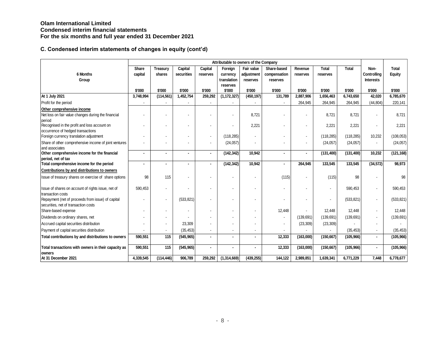|                                                                                             |                          |                    |                       |                     |                                    | Attributable to owners of the Company |                                         |                          |                          |            |                                         |                 |
|---------------------------------------------------------------------------------------------|--------------------------|--------------------|-----------------------|---------------------|------------------------------------|---------------------------------------|-----------------------------------------|--------------------------|--------------------------|------------|-----------------------------------------|-----------------|
| 6 Months<br>Group                                                                           | Share<br>capital         | Treasury<br>shares | Capital<br>securities | Capital<br>reserves | Foreign<br>currency<br>translation | Fair value<br>adjustment<br>reserves  | Share-based<br>compensation<br>reserves | Revenue<br>reserves      | <b>Total</b><br>reserves | Total      | Non-<br>Controlling<br><b>Interests</b> | Total<br>Equity |
|                                                                                             |                          |                    |                       |                     | reserves                           |                                       |                                         |                          |                          |            |                                         |                 |
|                                                                                             | \$'000                   | \$'000             | \$'000                | \$'000              | \$'000                             | \$'000                                | \$'000                                  | \$'000                   | \$'000                   | \$'000     | \$'000                                  | \$'000          |
| At 1 July 2021                                                                              | 3,748,994                | (114, 561)         | 1,452,754             | 259,292             | (1, 172, 327)                      | (450, 197)                            | 131,789                                 | 2,887,906                | 1,656,463                | 6,743,650  | 42,020                                  | 6,785,670       |
| Profit for the period                                                                       | $\overline{\phantom{a}}$ |                    |                       |                     | $\overline{\phantom{a}}$           |                                       |                                         | 264,945                  | 264,945                  | 264,945    | (44, 804)                               | 220,141         |
| Other comprehensive income<br>Net loss on fair value changes during the financial<br>period |                          |                    |                       |                     |                                    | 8,721                                 |                                         | $\overline{\phantom{a}}$ | 8,721                    | 8,721      |                                         | 8,721           |
| Recognised in the profit and loss account on<br>occurrence of hedged transactions           |                          |                    |                       |                     |                                    | 2,221                                 |                                         | $\overline{\phantom{a}}$ | 2.221                    | 2,221      |                                         | 2,221           |
| Foreign currency translation adjustment                                                     |                          |                    |                       |                     | (118, 285)                         |                                       |                                         | $\blacksquare$           | (118, 285)               | (118, 285) | 10,232                                  | (108, 053)      |
| Share of other comprehensive income of joint ventures<br>and associates                     |                          |                    |                       |                     | (24, 057)                          |                                       |                                         | $\blacksquare$           | (24, 057)                | (24, 057)  |                                         | (24, 057)       |
| Other comprehensive income for the financial                                                |                          |                    | $\blacksquare$        |                     | (142, 342)                         | 10,942                                |                                         | $\blacksquare$           | (131, 400)               | (131, 400) | 10,232                                  | (121, 168)      |
| period, net of tax                                                                          |                          |                    |                       |                     |                                    | 10,942                                |                                         |                          | 133,545                  | 133,545    |                                         | 98,973          |
| Total comprehensive income for the period                                                   |                          |                    | $\blacksquare$        |                     | (142, 342)                         |                                       |                                         | 264,945                  |                          |            | (34, 572)                               |                 |
| Contributions by and distributions to owners                                                |                          |                    |                       |                     |                                    |                                       |                                         |                          |                          |            |                                         |                 |
| Issue of treasury shares on exercise of share options                                       | 98                       | 115                |                       |                     |                                    |                                       | (115)                                   |                          | (115)                    | 98         |                                         | 98              |
| Issue of shares on account of rights issue, net of<br>transaction costs                     | 590,453                  |                    |                       |                     |                                    |                                       |                                         |                          |                          | 590,453    |                                         | 590,453         |
| Repayment (net of proceeds from issue) of capital<br>securities, net of transaction costs   |                          |                    | (533, 821)            |                     |                                    |                                       |                                         |                          |                          | (533, 821) | $\overline{\phantom{a}}$                | (533, 821)      |
| Share-based expense                                                                         |                          |                    |                       |                     |                                    |                                       | 12,448                                  |                          | 12,448                   | 12,448     | $\overline{\phantom{a}}$                | 12,448          |
| Dividends on ordinary shares, net                                                           |                          |                    |                       |                     |                                    |                                       |                                         | (139, 691)               | (139, 691)               | (139, 691) | $\overline{\phantom{a}}$                | (139, 691)      |
| Accrued capital securities distribution                                                     |                          |                    | 23,309                |                     |                                    |                                       |                                         | (23, 309)                | (23, 309)                |            |                                         |                 |
| Payment of capital securities distribution                                                  |                          |                    | (35, 453)             |                     |                                    |                                       |                                         |                          |                          | (35, 453)  | $\blacksquare$                          | (35, 453)       |
| Total contributions by and distributions to owners                                          | 590,551                  | 115                | (545, 965)            |                     |                                    |                                       | 12,333                                  | (163,000)                | (150, 667)               | (105, 966) | $\blacksquare$                          | (105, 966)      |
| Total transactions with owners in their capacity as<br>owners                               | 590,551                  | 115                | (545, 965)            |                     |                                    |                                       | 12,333                                  | (163,000)                | (150, 667)               | (105, 966) | $\bullet$                               | (105, 966)      |
| At 31 December 2021                                                                         | 4,339,545                | (114, 446)         | 906,789               | 259,292             | (1,314,669)                        | (439, 255)                            | 144,122                                 | 2,989,851                | 1,639,341                | 6,771,229  | 7,448                                   | 6,778,677       |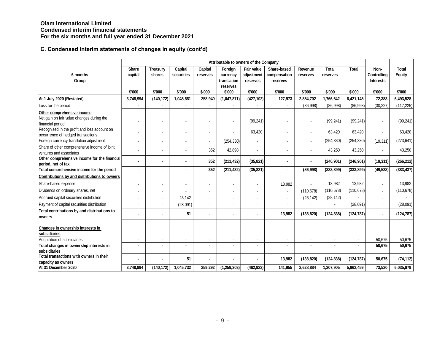|                                                                                             | Attributable to owners of the Company |            |            |                |                    |            |                |                |              |              |                  |            |
|---------------------------------------------------------------------------------------------|---------------------------------------|------------|------------|----------------|--------------------|------------|----------------|----------------|--------------|--------------|------------------|------------|
|                                                                                             | Share                                 | Treasury   | Capital    | Capital        | Foreign            | Fair value | Share-based    | Revenue        | <b>Total</b> | <b>Total</b> | Non-             | Total      |
| 6 months                                                                                    | capital                               | shares     | securities | reserves       | currency           | adjustment | compensation   | reserves       | reserves     |              | Controlling      | Equity     |
| Group                                                                                       |                                       |            |            |                | translation        | reserves   | reserves       |                |              |              | <b>Interests</b> |            |
|                                                                                             | \$'000                                | \$'000     | \$'000     | \$'000         | reserves<br>\$'000 | \$'000     | \$'000         | \$'000         | \$'000       | \$'000       | \$'000           | \$'000     |
| At 1 July 2020 (Restated)                                                                   | 3,748,994                             | (140, 172) | 1,045,681  | 258,940        | (1,047,871)        | (427, 102) | 127,973        | 2,854,702      | 1,766,642    | 6,421,145    | 72,383           | 6,493,528  |
| Loss for the period                                                                         |                                       |            |            |                |                    |            |                | (86,998)       | (86,998)     | (86,998)     | (30, 227)        | (117, 225) |
|                                                                                             |                                       |            |            |                |                    |            |                |                |              |              |                  |            |
| Other comprehensive income<br>Net gain on fair value changes during the<br>financial period |                                       |            |            |                |                    | (99, 241)  |                |                | (99, 241)    | (99, 241)    |                  | (99, 241)  |
| Recognised in the profit and loss account on<br>occurrence of hedged transactions           |                                       |            |            | $\blacksquare$ |                    | 63,420     |                | $\blacksquare$ | 63,420       | 63,420       |                  | 63,420     |
| Foreign currency translation adjustment                                                     |                                       |            |            | $\mathbf{r}$   | (254, 330)         |            |                | $\mathbf{r}$   | (254, 330)   | (254, 330)   | (19, 311)        | (273, 641) |
| Share of other comprehensive income of joint<br>ventures and associates                     |                                       |            |            | 352            | 42,898             |            |                | $\mathbf{r}$   | 43,250       | 43,250       |                  | 43,250     |
| Other comprehensive income for the financial<br>period, net of tax                          |                                       |            |            | 352            | (211, 432)         | (35, 821)  |                | $\blacksquare$ | (246, 901)   | (246, 901)   | (19, 311)        | (266, 212) |
| Total comprehensive income for the period                                                   |                                       |            |            | 352            | (211, 432)         | (35, 821)  |                | (86,998)       | (333, 899)   | (333, 899)   | (49, 538)        | (383, 437) |
| Contributions by and distributions to owners                                                |                                       |            |            |                |                    |            |                |                |              |              |                  |            |
| Share-based expense                                                                         |                                       |            |            | $\blacksquare$ |                    |            | 13,982         |                | 13,982       | 13,982       |                  | 13,982     |
| Dividends on ordinary shares, net                                                           |                                       |            |            |                |                    |            |                | (110, 678)     | (110, 678)   | (110, 678)   |                  | (110, 678) |
| Accrued capital securities distribution                                                     |                                       |            | 28,142     |                |                    |            |                | (28, 142)      | (28, 142)    |              |                  |            |
| Payment of capital securities distribution                                                  |                                       |            | (28,091)   | $\mathbf{r}$   |                    |            |                |                |              | (28,091)     |                  | (28,091)   |
| Total contributions by and distributions to<br>owners                                       |                                       |            | 51         | $\blacksquare$ |                    |            | 13,982         | (138, 820)     | (124, 838)   | (124, 787)   |                  | (124, 787) |
| Changes in ownership interests in<br>subsidiaries<br>Acquisition of subsidiaries            | $\blacksquare$                        |            |            | $\blacksquare$ |                    |            | $\blacksquare$ | $\blacksquare$ |              |              | 50,675           | 50,675     |
| Total changes in ownership interests in                                                     |                                       |            |            |                |                    |            |                |                |              |              | 50,675           | 50,675     |
| subsidiaries                                                                                |                                       |            |            |                |                    |            |                |                |              |              |                  |            |
| Total transactions with owners in their<br>capacity as owners                               |                                       |            | 51         |                |                    |            | 13,982         | (138, 820)     | (124, 838)   | (124, 787)   | 50,675           | (74, 112)  |
| At 31 December 2020                                                                         | 3,748,994                             | (140, 172) | 1,045,732  | 259,292        | (1, 259, 303)      | (462, 923) | 141,955        | 2,628,884      | 1,307,905    | 5,962,459    | 73,520           | 6,035,979  |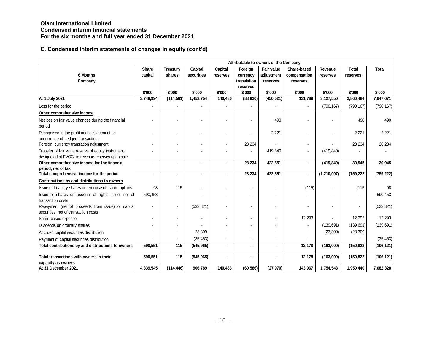|                                                                                           | Attributable to owners of the Company |                |                |          |             |            |              |               |              |              |  |  |  |
|-------------------------------------------------------------------------------------------|---------------------------------------|----------------|----------------|----------|-------------|------------|--------------|---------------|--------------|--------------|--|--|--|
|                                                                                           | Share                                 | Treasury       | Capital        | Capital  | Foreign     | Fair value | Share-based  | Revenue       | <b>Total</b> | <b>Total</b> |  |  |  |
| 6 Months                                                                                  | capital                               | shares         | securities     | reserves | currency    | adjustment | compensation | reserves      | reserves     |              |  |  |  |
| Company                                                                                   |                                       |                |                |          | translation | reserves   | reserves     |               |              |              |  |  |  |
|                                                                                           |                                       |                |                |          | reserves    |            |              |               |              |              |  |  |  |
|                                                                                           | \$'000                                | \$'000         | \$'000         | \$'000   | \$'000      | \$'000     | \$'000       | \$'000        | \$'000       | \$'000       |  |  |  |
| At 1 July 2021                                                                            | 3,748,994                             | (114, 561)     | 1,452,754      | 140,486  | (88, 820)   | (450, 521) | 131,789      | 3,127,550     | 2,860,484    | 7,947,671    |  |  |  |
| Loss for the period                                                                       |                                       |                |                |          |             |            |              | (790, 167)    | (790, 167)   | (790, 167)   |  |  |  |
| Other comprehensive income                                                                |                                       |                |                |          |             |            |              |               |              |              |  |  |  |
| Net loss on fair value changes during the financial<br>period                             |                                       |                |                |          |             | 490        |              |               | 490          | 490          |  |  |  |
| Recognised in the profit and loss account on<br>occurrence of hedged transactions         |                                       |                |                |          |             | 2,221      |              |               | 2,221        | 2,221        |  |  |  |
| Foreign currency translation adjustment                                                   |                                       |                |                |          | 28,234      |            |              |               | 28,234       | 28,234       |  |  |  |
| Transfer of fair value reserve of equity instruments                                      |                                       |                |                |          |             | 419,840    |              | (419, 840)    |              |              |  |  |  |
| designated at FVOCI to revenue reserves upon sale                                         |                                       |                |                |          |             |            |              |               |              |              |  |  |  |
| Other comprehensive income for the financial                                              | $\blacksquare$                        | $\blacksquare$ | $\blacksquare$ |          | 28,234      | 422,551    |              | (419, 840)    | 30,945       | 30,945       |  |  |  |
| period, net of tax                                                                        | $\blacksquare$                        |                | $\blacksquare$ |          |             | 422,551    |              |               |              |              |  |  |  |
| Total comprehensive income for the period                                                 |                                       |                |                |          | 28,234      |            |              | (1, 210, 007) | (759, 222)   | (759, 222)   |  |  |  |
| Contributions by and distributions to owners                                              |                                       |                |                |          |             |            |              |               |              |              |  |  |  |
| Issue of treasury shares on exercise of share options                                     | 98                                    | 115            |                |          |             |            | (115)        |               | (115)        | 98           |  |  |  |
| Issue of shares on account of rights issue, net of                                        | 590,453                               |                |                |          |             |            |              |               |              | 590,453      |  |  |  |
| transaction costs                                                                         |                                       |                |                |          |             |            |              |               |              |              |  |  |  |
| Repayment (net of proceeds from issue) of capital<br>securities, net of transaction costs |                                       |                | (533, 821)     |          |             |            |              |               |              | (533, 821)   |  |  |  |
| Share-based expense                                                                       |                                       |                |                |          |             |            | 12,293       |               | 12,293       | 12,293       |  |  |  |
| Dividends on ordinary shares                                                              |                                       |                |                |          |             |            |              | (139, 691)    | (139, 691)   | (139, 691)   |  |  |  |
| Accrued capital securities distribution                                                   |                                       |                | 23,309         |          |             |            |              | (23, 309)     | (23, 309)    |              |  |  |  |
| Payment of capital securities distribution                                                |                                       |                | (35, 453)      |          |             |            |              |               |              | (35, 453)    |  |  |  |
| Total contributions by and distributions to owners                                        | 590,551                               | 115            | (545, 965)     |          |             |            | 12,178       | (163,000)     | (150, 822)   | (106, 121)   |  |  |  |
| Total transactions with owners in their                                                   | 590,551                               | 115            | (545, 965)     |          |             |            | 12,178       | (163,000)     | (150, 822)   | (106, 121)   |  |  |  |
| capacity as owners<br>At 31 December 2021                                                 | 4,339,545                             | (114, 446)     | 906,789        | 140,486  | (60, 586)   | (27, 970)  | 143,967      | 1,754,543     | 1,950,440    | 7,082,328    |  |  |  |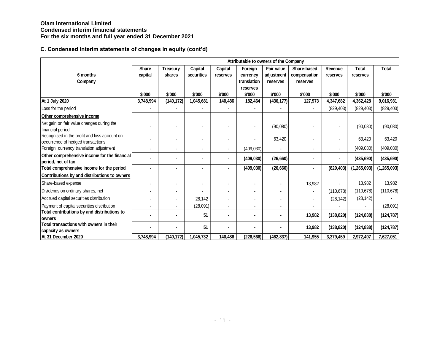|                                                                 |              |                 |            |                |                | Attributable to owners of the Company |                |                |               |               |
|-----------------------------------------------------------------|--------------|-----------------|------------|----------------|----------------|---------------------------------------|----------------|----------------|---------------|---------------|
|                                                                 | <b>Share</b> | <b>Treasury</b> | Capital    | Capital        | Foreign        | Fair value                            | Share-based    | Revenue        | <b>Total</b>  | <b>Total</b>  |
| 6 months                                                        | capital      | shares          | securities | reserves       | currency       | adjustment                            | compensation   | reserves       | reserves      |               |
| Company                                                         |              |                 |            |                | translation    | reserves                              | reserves       |                |               |               |
|                                                                 |              |                 |            |                | reserves       |                                       |                |                |               |               |
|                                                                 | \$'000       | \$'000          | \$'000     | \$'000         | \$'000         | \$'000                                | \$'000         | \$'000         | \$'000        | \$'000        |
| At 1 July 2020                                                  | 3,748,994    | (140, 172)      | 1,045,681  | 140,486        | 182,464        | (436, 177)                            | 127,973        | 4,347,682      | 4,362,428     | 9,016,931     |
| Loss for the period                                             |              |                 |            |                |                |                                       |                | (829, 403)     | (829, 403)    | (829, 403)    |
| Other comprehensive income                                      |              |                 |            |                |                |                                       |                |                |               |               |
| Net gain on fair value changes during the                       |              |                 |            |                | $\blacksquare$ | (90,080)                              |                |                | (90,080)      | (90,080)      |
| financial period                                                |              |                 |            |                |                |                                       |                |                |               |               |
| Recognised in the profit and loss account on                    |              |                 |            |                | $\blacksquare$ | 63,420                                |                |                | 63,420        | 63,420        |
| occurrence of hedged transactions                               |              |                 |            |                |                |                                       |                |                |               |               |
| Foreign currency translation adjustment                         |              |                 |            |                | (409, 030)     |                                       |                | $\blacksquare$ | (409, 030)    | (409, 030)    |
| Other comprehensive income for the financial                    |              |                 |            |                | (409, 030)     | (26, 660)                             |                | $\blacksquare$ | (435, 690)    | (435, 690)    |
| period, net of tax<br>Total comprehensive income for the period |              |                 |            |                | (409, 030)     | (26, 660)                             | $\blacksquare$ | (829, 403)     | (1, 265, 093) | (1, 265, 093) |
| Contributions by and distributions to owners                    |              |                 |            |                |                |                                       |                |                |               |               |
|                                                                 |              |                 |            |                |                |                                       |                |                |               |               |
| Share-based expense                                             |              |                 |            |                |                |                                       | 13,982         |                | 13,982        | 13,982        |
| Dividends on ordinary shares, net                               |              |                 |            |                |                |                                       |                | (110, 678)     | (110, 678)    | (110, 678)    |
| Accrued capital securities distribution                         |              |                 | 28,142     |                |                |                                       |                | (28, 142)      | (28, 142)     |               |
| Payment of capital securities distribution                      |              |                 | (28,091)   |                |                |                                       |                |                |               | (28,091)      |
| Total contributions by and distributions to<br>owners           |              | ۰               | 51         | $\blacksquare$ | $\blacksquare$ | ٠.                                    | 13,982         | (138, 820)     | (124, 838)    | (124, 787)    |
| Total transactions with owners in their                         |              |                 | 51         |                |                |                                       | 13,982         | (138, 820)     | (124, 838)    | (124, 787)    |
| capacity as owners                                              |              |                 |            |                |                |                                       |                |                |               |               |
| At 31 December 2020                                             | 3,748,994    | (140, 172)      | 1,045,732  | 140,486        | (226, 566)     | (462, 837)                            | 141,955        | 3,379,459      | 2,972,497     | 7,627,051     |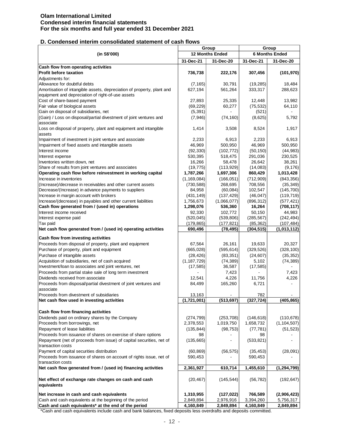## **D. Condensed interim consolidated statement of cash flows**

|                                                                            |               | Group           | Group      |                          |  |
|----------------------------------------------------------------------------|---------------|-----------------|------------|--------------------------|--|
| (in S\$'000)                                                               |               | 12 Months Ended |            | <b>6 Months Ended</b>    |  |
|                                                                            | 31-Dec-21     | 31-Dec-20       | 31-Dec-21  | 31-Dec-20                |  |
| Cash flow from operating activities                                        |               |                 |            |                          |  |
| <b>Profit before taxation</b>                                              | 736,738       | 222,176         | 307,456    | (101, 970)               |  |
| Adjustments for:                                                           |               |                 |            |                          |  |
| Allowance for doubtful debts                                               | (7, 165)      | 30.791          | (19, 285)  | 18,484                   |  |
| Amortisation of intangible assets, depreciation of property, plant and     | 627,194       | 561,264         | 333,317    | 288,623                  |  |
| equipment and depreciation of right-of-use assets                          |               |                 |            |                          |  |
| Cost of share-based payment                                                | 27,893        | 25,335          | 12,448     | 13,982                   |  |
| Fair value of biological assets                                            | (69, 229)     | 60,277          | (75, 532)  | 64,110                   |  |
| Gain on disposal of subsidiaries, net                                      | (5, 391)      |                 | (521)      |                          |  |
| (Gain) / Loss on disposal/partial divestment of joint ventures and         | (7,946)       | (74, 160)       | (8,625)    | 5,792                    |  |
| associate                                                                  |               |                 |            |                          |  |
| Loss on disposal of property, plant and equipment and intangible<br>assets | 1,414         | 3,508           | 8,524      | 1,917                    |  |
| Impairment of investment in joint venture and associate                    | 2,233         | 6,913           | 2,233      | 6,913                    |  |
| Impairment of fixed assets and intangible assets                           | 46,969        | 500,950         | 46,969     | 500,950                  |  |
| Interest income                                                            | (92, 330)     | (102, 772)      | (50, 150)  | (44, 983)                |  |
| Interest expense                                                           | 530,395       | 518,475         | 291,036    | 230,525                  |  |
| Inventories written down, net                                              | 16,266        | 58,478          | 26,642     | 38,261                   |  |
| Share of results from joint ventures and associates                        | (19, 775)     | (113, 929)      | (14,083)   | (9, 176)                 |  |
| Operating cash flow before reinvestment in working capital                 | 1,787,266     | 1,697,306       | 860,429    | 1,013,428                |  |
| Increase in inventories                                                    | (1, 169, 084) | (166, 051)      | (712,909)  | (843, 356)               |  |
| (Increase)/decrease in receivables and other current assets                | (730, 588)    | 268,695         | 708,556    | (35, 349)                |  |
| Decrease/(Increase) in advance payments to suppliers                       | 84,958        | (60, 084)       | 102,547    | (145, 700)               |  |
| Increase in margin account with brokers                                    | (431, 149)    | (137, 429)      | (46, 047)  | (119, 719)               |  |
| Increase/(decrease) in payables and other current liabilities              | 1,756,673     | (1,066,077)     | (896, 312) | (577, 421)               |  |
| Cash flow generated from / (used in) operations                            | 1,298,076     | 536,360         | 16,264     | (708,117)                |  |
| Interest income received                                                   | 92,330        | 102,772         | 50,150     | 44,983                   |  |
| Interest expense paid                                                      | (520, 045)    | (539, 806)      | (285, 567) | (242, 494)               |  |
| Tax paid                                                                   | (179, 865)    | (177, 821)      | (85, 362)  | (107, 484)               |  |
| Net cash flow generated from / (used in) operating activities              | 690,496       | (78, 495)       | (304, 515) | (1,013,112)              |  |
| Cash flow from investing activities                                        |               |                 |            |                          |  |
| Proceeds from disposal of property, plant and equipment                    | 67,564        | 26,161          | 19,633     | 20,327                   |  |
| Purchase of property, plant and equipment                                  | (665, 028)    | (595, 614)      | (329, 526) | (328, 100)               |  |
| Purchase of intangible assets                                              | (28, 426)     | (83, 351)       | (24, 607)  | (35, 352)                |  |
| Acquisition of subsidiaries, net of cash acquired                          | (1, 187, 729) | (74, 389)       | 5,102      | (74, 389)                |  |
| Investment/loan to associates and joint ventures, net                      | (17, 585)     | 36,587          | (17, 585)  |                          |  |
| Proceeds from partial stake sale of long term investment                   |               | 7,423           |            | 7,423                    |  |
| Dividends received from associate                                          | 12,541        | 4,226           | 11,756     | 4,226                    |  |
| Proceeds from disposal/partial divestment of joint ventures and            | 84,499        | 165,260         | 6,721      | $\overline{\phantom{0}}$ |  |
| associate                                                                  |               |                 |            |                          |  |
| Proceeds from divestment of subsidiaries                                   | 13,163        |                 | 782        |                          |  |
| Net cash flow used in investing activities                                 | (1,721,001)   | (513,697)       | (327, 724) | (405, 865)               |  |
| Cash flow from financing activities                                        |               |                 |            |                          |  |
| Dividends paid on ordinary shares by the Company                           | (274, 799)    | (253, 708)      | (146, 618) | (110, 678)               |  |
| Proceeds from borrowings, net                                              | 2,378,553     | 1,019,750       | 1,658,732  | (1, 104, 507)            |  |
| Repayment of lease liabilities                                             | (135, 844)    | (98, 753)       | (77, 781)  | (51, 523)                |  |
| Proceeds from issuance of shares on exercise of share options              | 98            |                 | 98         |                          |  |
| Repayment (net of proceeds from issue) of capital securities, net of       | (135, 665)    |                 | (533, 821) |                          |  |
| transaction costs                                                          |               |                 |            |                          |  |
| Payment of capital securities distribution                                 | (60, 869)     | (56, 575)       | (35, 453)  | (28,091)                 |  |
| Proceeds from issuance of shares on account of rights issue, net of        | 590,453       |                 | 590,453    |                          |  |
| transaction costs                                                          |               |                 |            |                          |  |
| Net cash flow generated from / (used in) financing activities              | 2,361,927     | 610,714         | 1,455,610  | (1, 294, 799)            |  |
| Net effect of exchange rate changes on cash and cash                       | (20, 467)     | (145, 544)      | (56, 782)  | (192, 647)               |  |
| equivalents                                                                |               |                 |            |                          |  |
|                                                                            |               |                 |            |                          |  |
| Net increase in cash and cash equivalents                                  | 1,310,955     | (127, 022)      | 766,589    | (2,906,423)              |  |
| Cash and cash equivalents at the beginning of the period                   | 2,849,894     | 2,976,916       | 3,394,260  | 5,756,317                |  |
| Cash and cash equivalents* at the end of the period                        | 4,160,849     | 2,849,894       | 4,160,849  | 2,849,894                |  |

\*Cash and cash equivalents include cash and bank balances, fixed deposits less overdrafts and deposits committed.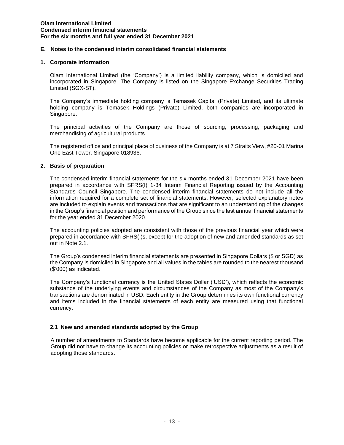## **E. Notes to the condensed interim consolidated financial statements**

#### **1. Corporate information**

Olam International Limited (the 'Company') is a limited liability company, which is domiciled and incorporated in Singapore. The Company is listed on the Singapore Exchange Securities Trading Limited (SGX-ST).

The Company's immediate holding company is Temasek Capital (Private) Limited, and its ultimate holding company is Temasek Holdings (Private) Limited, both companies are incorporated in Singapore.

The principal activities of the Company are those of sourcing, processing, packaging and merchandising of agricultural products.

The registered office and principal place of business of the Company is at 7 Straits View, #20-01 Marina One East Tower, Singapore 018936.

## **2. Basis of preparation**

The condensed interim financial statements for the six months ended 31 December 2021 have been prepared in accordance with SFRS(I) 1-34 Interim Financial Reporting issued by the Accounting Standards Council Singapore. The condensed interim financial statements do not include all the information required for a complete set of financial statements. However, selected explanatory notes are included to explain events and transactions that are significant to an understanding of the changes in the Group's financial position and performance of the Group since the last annual financial statements for the year ended 31 December 2020.

The accounting policies adopted are consistent with those of the previous financial year which were prepared in accordance with SFRS(I)s, except for the adoption of new and amended standards as set out in Note 2.1.

The Group's condensed interim financial statements are presented in Singapore Dollars (\$ or SGD) as the Company is domiciled in Singapore and all values in the tables are rounded to the nearest thousand (\$'000) as indicated.

The Company's functional currency is the United States Dollar ('USD'), which reflects the economic substance of the underlying events and circumstances of the Company as most of the Company's transactions are denominated in USD. Each entity in the Group determines its own functional currency and items included in the financial statements of each entity are measured using that functional currency.

## **2.1 New and amended standards adopted by the Group**

A number of amendments to Standards have become applicable for the current reporting period. The Group did not have to change its accounting policies or make retrospective adjustments as a result of adopting those standards.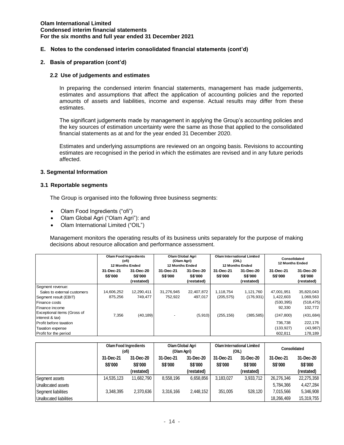## **E. Notes to the condensed interim consolidated financial statements (cont'd)**

### **2. Basis of preparation (cont'd)**

### **2.2 Use of judgements and estimates**

In preparing the condensed interim financial statements, management has made judgements, estimates and assumptions that affect the application of accounting policies and the reported amounts of assets and liabilities, income and expense. Actual results may differ from these estimates.

The significant judgements made by management in applying the Group's accounting policies and the key sources of estimation uncertainty were the same as those that applied to the consolidated financial statements as at and for the year ended 31 December 2020.

Estimates and underlying assumptions are reviewed on an ongoing basis. Revisions to accounting estimates are recognised in the period in which the estimates are revised and in any future periods affected.

#### **3. Segmental Information**

#### **3.1 Reportable segments**

The Group is organised into the following three business segments:

- Olam Food Ingredients ("ofi")
- Olam Global Agri ("Olam Agri"): and
- Olam International Limited ("OIL")

Management monitors the operating results of its business units separately for the purpose of making decisions about resource allocation and performance assessment.

|                                                | <b>Olam Food Ingredients</b><br>(ofi)<br><b>12 Months Ended</b> |                                    | Olam Global Agri<br>(Olam Agri)<br><b>12 Months Ended</b> |                                           | <b>Olam International Limited</b><br>(OIL)<br><b>12 Months Ended</b> |                                           | Consolidated<br><b>12 Months Ended</b> |                                    |
|------------------------------------------------|-----------------------------------------------------------------|------------------------------------|-----------------------------------------------------------|-------------------------------------------|----------------------------------------------------------------------|-------------------------------------------|----------------------------------------|------------------------------------|
|                                                | 31-Dec-21<br>S\$'000                                            | 31-Dec-20<br>S\$'000<br>(restated) | 31-Dec-21<br><b>S\$'000</b>                               | 31-Dec-20<br><b>S\$'000</b><br>(restated) | 31-Dec-21<br><b>S\$'000</b>                                          | 31-Dec-20<br><b>S\$'000</b><br>(restated) | 31-Dec-21<br><b>S\$'000</b>            | 31-Dec-20<br>S\$'000<br>(restated) |
| Segment revenue:                               |                                                                 |                                    |                                                           |                                           |                                                                      |                                           |                                        |                                    |
| Sales to external customers                    | 14,606,252                                                      | 12,290,411                         | 31,276,945                                                | 22,407,872                                | 1,118,754                                                            | 1,121,760                                 | 47.001.951                             | 35,820,043                         |
| Segment result (EBIT)                          | 875.256                                                         | 749,477                            | 752,922                                                   | 497,017                                   | (205, 575)                                                           | (176, 931)                                | 1,422,603                              | 1,069,563                          |
| Finance costs                                  |                                                                 |                                    |                                                           |                                           |                                                                      |                                           | (530, 395)                             | (518, 475)                         |
| Finance income                                 |                                                                 |                                    |                                                           |                                           |                                                                      |                                           | 92,330                                 | 102,772                            |
| Exceptional items (Gross of<br>interest & tax) | 7.356                                                           | (40, 189)                          |                                                           | (5,910)                                   | (255, 156)                                                           | (385, 585)                                | (247, 800)                             | (431, 684)                         |
| Profit before taxation                         |                                                                 |                                    |                                                           |                                           |                                                                      |                                           | 736.738                                | 222,176                            |
| <b>Taxation expense</b>                        |                                                                 |                                    |                                                           |                                           |                                                                      |                                           | (133, 927)                             | (43,987)                           |
| Profit for the period                          |                                                                 |                                    |                                                           |                                           |                                                                      |                                           | 602,811                                | 178,189                            |

|                         | <b>Olam Food Ingredients</b><br>(ofi) |                | Olam Global Agri<br>(Olam Agri) |                | <b>Olam International Limited</b><br>(OIL) |            | Consolidated |                |
|-------------------------|---------------------------------------|----------------|---------------------------------|----------------|--------------------------------------------|------------|--------------|----------------|
|                         | 31-Dec-21                             | 31-Dec-20      | 31-Dec-21                       | 31-Dec-20      | 31-Dec-21                                  | 31-Dec-20  | 31-Dec-21    | 31-Dec-20      |
|                         | S\$'000                               | <b>S\$'000</b> | S\$'000                         | <b>S\$'000</b> | <b>S\$'000</b>                             | S\$'000    | S\$'000      | <b>S\$'000</b> |
|                         |                                       | (restated)     |                                 | (restated)     |                                            | (restated) |              | (restated)     |
| Segment assets          | 14,535,123                            | 11,682,790     | 8.558.196                       | 6,658,856      | 3.183.027                                  | 3,933,712  | 26,276,346   | 22,275,358     |
| Unallocated assets      |                                       |                |                                 |                |                                            |            | 5,784,366    | 4,427,284      |
| Segment liabilities     | 3.348.395                             | 2.370.636      | 3.316.166                       | 2.448.152      | 351,005                                    | 528.120    | 7.015.566    | 5,346,908      |
| Unallocated liabilities |                                       |                |                                 |                |                                            |            | 18.266.469   | 15,319,755     |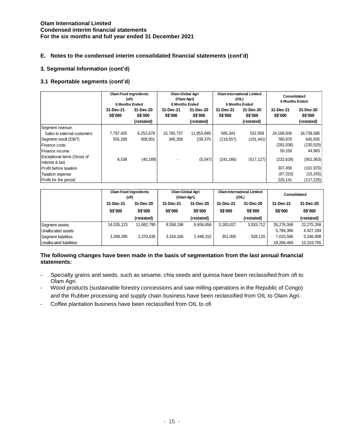## **E. Notes to the condensed interim consolidated financial statements (cont'd)**

## **3. Segmental Information (cont'd)**

## **3.1 Reportable segments (cont'd)**

|                                                | <b>Olam Food Ingredients</b><br>(ofi)<br><b>6 Months Ended</b> |                                    | Olam Global Agri<br>(Olam Agri)<br><b>6 Months Ended</b> |                                           | <b>Olam International Limited</b><br>(OIL)<br><b>6 Months Ended</b> |                                           | <b>Consolidated</b><br>6 Months Ended |                                    |
|------------------------------------------------|----------------------------------------------------------------|------------------------------------|----------------------------------------------------------|-------------------------------------------|---------------------------------------------------------------------|-------------------------------------------|---------------------------------------|------------------------------------|
|                                                | 31-Dec-21<br>S\$'000                                           | 31-Dec-20<br>S\$'000<br>(restated) | 31-Dec-21<br><b>S\$'000</b>                              | 31-Dec-20<br><b>S\$'000</b><br>(restated) | 31-Dec-21<br>S\$'000                                                | 31-Dec-20<br><b>S\$'000</b><br>(restated) | 31-Dec-21<br>S\$'000                  | 31-Dec-20<br>S\$'000<br>(restated) |
| Segment revenue:                               |                                                                |                                    |                                                          |                                           |                                                                     |                                           |                                       |                                    |
| Sales to external customers                    | 7,797,426                                                      | 6,252,679                          | 15,785,737                                               | 11,953,949                                | 585,343                                                             | 532,958                                   | 24,168,506                            | 18,739,586                         |
| Segment result (EBIT)                          | 555,169                                                        | 508,001                            | 345,358                                                  | 239,375                                   | (119, 557)                                                          | (101, 441)                                | 780,970                               | 645,935                            |
| l Finance costs                                |                                                                |                                    |                                                          |                                           |                                                                     |                                           | (291,036)                             | (230, 525)                         |
| l Finance income                               |                                                                |                                    |                                                          |                                           |                                                                     |                                           | 50,150                                | 44,983                             |
| Exceptional items (Gross of<br>interest & tax) | 8,538                                                          | (40, 189)                          |                                                          | (5,047)                                   | (241, 166)                                                          | (517, 127)                                | (232, 628)                            | (562, 363)                         |
| Profit before taxation                         |                                                                |                                    |                                                          |                                           |                                                                     |                                           | 307.456                               | (101, 970)                         |
| Taxation expense                               |                                                                |                                    |                                                          |                                           |                                                                     |                                           | (87, 315)                             | (15, 255)                          |
| Profit for the period                          |                                                                |                                    |                                                          |                                           |                                                                     |                                           | 220,141                               | (117,225)                          |

|                         | <b>Olam Food Ingredients</b><br>(ofi) |                | Olam Global Agri<br>(Olam Agri) |                |           | <b>Olam International Limited</b><br>(OIL) |            | Consolidated |  |
|-------------------------|---------------------------------------|----------------|---------------------------------|----------------|-----------|--------------------------------------------|------------|--------------|--|
|                         | 31-Dec-21                             | 31-Dec-20      | 31-Dec-21                       | 31-Dec-20      | 31-Dec-21 | 31-Dec-20                                  | 31-Dec-21  | 31-Dec-20    |  |
|                         | <b>S\$'000</b>                        | <b>S\$'000</b> | S\$'000                         | <b>S\$'000</b> | S\$'000   | S\$'000                                    | S\$'000    | S\$'000      |  |
|                         |                                       | (restated)     |                                 | (restated)     |           | (restated)                                 |            | (restated)   |  |
| Segment assets          | 14,535,123                            | 11.682.790     | 8.558.196                       | 6.658.856      | 3,183,027 | 3,933,712                                  | 26,276,346 | 22,275,358   |  |
| Unallocated assets      |                                       |                |                                 |                |           |                                            | 5,784,366  | 4,427,284    |  |
| Segment liabilities     | 3,348,395                             | 2,370,636      | 3,316,166                       | 2,448,152      | 351.005   | 528.120                                    | 7,015,566  | 5,346,908    |  |
| Unallocated liabilities |                                       |                |                                 |                |           |                                            | 18.266.469 | 15,319,755   |  |

## **The following changes have been made in the basis of segmentation from the last annual financial statements:**

- Specialty grains and seeds, such as sesame, chia seeds and quinoa have been reclassified from ofi to Olam Agri.
- Wood products (sustainable forestry concessions and saw milling operations in the Republic of Congo) and the Rubber processing and supply chain business have been reclassified from OIL to Olam Agri.
- Coffee plantation business have been reclassified from OIL to ofi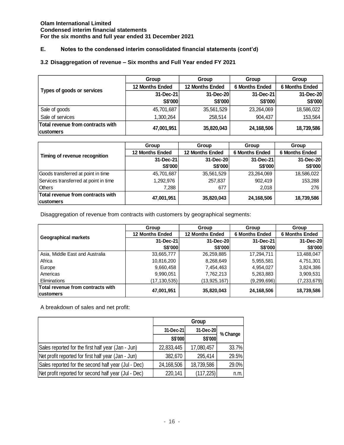# **E. Notes to the condensed interim consolidated financial statements (cont'd)**

## **3.2 Disaggregation of revenue – Six months and Full Year ended FY 2021**

|                                   | Group                  | Group                  | Group                 | Group                 |  |
|-----------------------------------|------------------------|------------------------|-----------------------|-----------------------|--|
| Types of goods or services        | <b>12 Months Ended</b> | <b>12 Months Ended</b> | <b>6 Months Ended</b> | <b>6 Months Ended</b> |  |
|                                   | 31-Dec-21              | 31-Dec-20              | 31-Dec-21             | 31-Dec-20             |  |
|                                   | S\$'000                | S\$'000                | S\$'000               | S\$'000               |  |
| Sale of goods                     | 45,701,687             | 35,561,529             | 23,264,069            | 18,586,022            |  |
| Sale of services                  | 1,300,264              | 258.514                | 904,437               | 153,564               |  |
| Total revenue from contracts with | 47,001,951             | 35,820,043             | 24,168,506            | 18,739,586            |  |
| customers                         |                        |                        |                       |                       |  |

|                                       | Group                  | Group                  | Group                 | Group                 |  |
|---------------------------------------|------------------------|------------------------|-----------------------|-----------------------|--|
| Timing of revenue recognition         | <b>12 Months Ended</b> | <b>12 Months Ended</b> | <b>6 Months Ended</b> | <b>6 Months Ended</b> |  |
|                                       | 31-Dec-21              | 31-Dec-20              | 31-Dec-21             | 31-Dec-20             |  |
|                                       | <b>S\$'000</b>         | <b>S\$'000</b>         | <b>S\$'000</b>        | S\$'000               |  |
| Goods transferred at point in time    | 45,701,687             | 35,561,529             | 23,264,069            | 18,586,022            |  |
| Services transferred at point in time | 1,292,976              | 257,837                | 902,419               | 153,288               |  |
| <b>Others</b>                         | 7,288                  | 677                    | 2,018                 | 276                   |  |
| Total revenue from contracts with     |                        |                        |                       |                       |  |
| <b>customers</b>                      | 47,001,951             | 35,820,043             | 24,168,506            | 18,739,586            |  |

Disaggregation of revenue from contracts with customers by geographical segments:

|                                   | Group                  | Group                  | Group                 | Group                 |  |
|-----------------------------------|------------------------|------------------------|-----------------------|-----------------------|--|
| <b>Geographical markets</b>       | <b>12 Months Ended</b> | <b>12 Months Ended</b> | <b>6 Months Ended</b> | <b>6 Months Ended</b> |  |
|                                   | 31-Dec-21              | 31-Dec-20              | 31-Dec-21             | 31-Dec-20             |  |
|                                   | <b>S\$'000</b>         | <b>S\$'000</b>         | S\$'000               | S\$'000               |  |
| Asia, Middle East and Australia   | 33,665,777             | 26,259,885             | 17,294,711            | 13,488,047            |  |
| Africa                            | 10,816,200             | 8,268,649              | 5,955,581             | 4,751,301             |  |
| Europe                            | 9,660,458              | 7,454,463              | 4,954,027             | 3,824,386             |  |
| Americas                          | 9,990,051              | 7,762,213              | 5,263,883             | 3,909,531             |  |
| Eliminations                      | (17,130,535)           | (13,925,167)           | (9, 299, 696)         | (7,233,679)           |  |
| Total revenue from contracts with | 47,001,951             | 35,820,043             | 24,168,506            | 18,739,586            |  |
| <b>customers</b>                  |                        |                        |                       |                       |  |

A breakdown of sales and net profit:

|                                                      | Group          |            |          |  |  |
|------------------------------------------------------|----------------|------------|----------|--|--|
|                                                      | 31-Dec-21      | 31-Dec-20  | % Change |  |  |
|                                                      | <b>S\$'000</b> | S\$'000    |          |  |  |
| Sales reported for the first half year (Jan - Jun)   | 22,833,445     | 17,080,457 | 33.7%    |  |  |
| Net profit reported for first half year (Jan - Jun)  | 382,670        | 295,414    | 29.5%    |  |  |
| Sales reported for the second half year (Jul - Dec)  | 24,168,506     | 18,739,586 | 29.0%    |  |  |
| Net profit reported for second half year (Jul - Dec) | 220,141        | (117, 225) | n.m.     |  |  |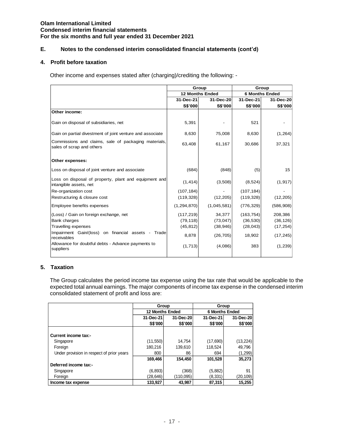## **E. Notes to the condensed interim consolidated financial statements (cont'd)**

#### **4. Profit before taxation**

Other income and expenses stated after (charging)/crediting the following: -

|                                                                                                                                                                                                                                                                           |                        |               | Group                  |            | Group    |                       |  |
|---------------------------------------------------------------------------------------------------------------------------------------------------------------------------------------------------------------------------------------------------------------------------|------------------------|---------------|------------------------|------------|----------|-----------------------|--|
|                                                                                                                                                                                                                                                                           |                        |               | <b>12 Months Ended</b> |            |          | <b>6 Months Ended</b> |  |
|                                                                                                                                                                                                                                                                           |                        | 31-Dec-21     | 31-Dec-20              | 31-Dec-21  |          | 31-Dec-20             |  |
|                                                                                                                                                                                                                                                                           |                        | S\$'000       | S\$'000                |            | S\$'000  | S\$'000               |  |
| Other income:                                                                                                                                                                                                                                                             |                        |               |                        |            |          |                       |  |
| Gain on disposal of subsidiaries, net                                                                                                                                                                                                                                     |                        | 5,391         |                        |            | 521      |                       |  |
| Gain on partial divestment of joint venture and associate                                                                                                                                                                                                                 |                        | 8,630         | 75,008                 |            | 8,630    | (1,264)               |  |
| Commissions and claims, sale of packaging materials,<br>sales of scrap and others                                                                                                                                                                                         |                        | 63,408        | 61,167                 | 30,686     |          | 37,321                |  |
| Other expenses:                                                                                                                                                                                                                                                           |                        |               |                        |            |          |                       |  |
| Loss on disposal of joint venture and associate                                                                                                                                                                                                                           |                        | (684)         | (848)                  |            | (5)      | 15                    |  |
| Loss on disposal of property, plant and equipment and<br>intangible assets, net                                                                                                                                                                                           |                        | (1, 414)      | (3,508)                |            | (8, 524) | (1, 917)              |  |
| Re-organization cost                                                                                                                                                                                                                                                      |                        | (107, 184)    |                        | (107, 184) |          |                       |  |
| Restructuring & closure cost                                                                                                                                                                                                                                              |                        | (119, 328)    | (12, 205)              | (119, 328) |          | (12, 205)             |  |
| Employee benefits expenses                                                                                                                                                                                                                                                |                        | (1, 294, 870) | (1,045,581)            | (776, 329) |          | (586, 908)            |  |
| (Loss) / Gain on foreign exchange, net                                                                                                                                                                                                                                    |                        | (117, 219)    | 34,377                 | (163, 754) |          | 208,386               |  |
| <b>Bank charges</b>                                                                                                                                                                                                                                                       |                        | (79, 118)     | (73, 047)              | (36, 530)  |          | (36, 126)             |  |
| <b>Travelling expenses</b>                                                                                                                                                                                                                                                |                        | (45, 812)     | (38, 946)              | (28, 043)  |          | (17, 254)             |  |
| Impairment Gain/(loss) on financial assets - Trade<br>receivables                                                                                                                                                                                                         |                        | 8,878         | (26, 705)              | 18,902     |          | (17, 245)             |  |
| Allowance for doubtful debts - Advance payments to<br>suppliers                                                                                                                                                                                                           |                        | (1,713)       | (4,086)                |            | 383      | (1,239)               |  |
| <b>Taxation</b><br>The Group calculates the period income tax expense using the tax rate that would be applicable to<br>expected total annual earnings. The major components of income tax expense in the condensed int<br>consolidated statement of profit and loss are: |                        |               |                        |            |          |                       |  |
|                                                                                                                                                                                                                                                                           | Group                  |               | Group                  |            |          |                       |  |
|                                                                                                                                                                                                                                                                           | <b>12 Months Ended</b> |               | <b>6 Months Ended</b>  |            |          |                       |  |

## **5. Taxation**

The Group calculates the period income tax expense using the tax rate that would be applicable to the expected total annual earnings. The major components of income tax expense in the condensed interim consolidated statement of profit and loss are:

|                                           | Group                  |                | Group                 |           |  |
|-------------------------------------------|------------------------|----------------|-----------------------|-----------|--|
|                                           | <b>12 Months Ended</b> |                | <b>6 Months Ended</b> |           |  |
|                                           | 31-Dec-20<br>31-Dec-21 |                | 31-Dec-21             | 31-Dec-20 |  |
|                                           | S\$'000                | <b>S\$'000</b> | S\$'000               | S\$'000   |  |
|                                           |                        |                |                       |           |  |
| Current income tax:-                      |                        |                |                       |           |  |
| Singapore                                 | (11, 550)              | 14,754         | (17,690)              | (13, 224) |  |
| Foreign                                   | 180,216                | 139,610        | 118,524               | 49,796    |  |
| Under provision in respect of prior years | 800                    | 86             | 694                   | (1,299)   |  |
|                                           | 169,466                | 154,450        | 101,528               | 35,273    |  |
| Deferred income tax:-                     |                        |                |                       |           |  |
| Singapore                                 | (6, 893)               | (368)          | (5,882)               | 91        |  |
| Foreign                                   | (28,646)               | (110, 095)     | (8,331)               | (20, 109) |  |
| Income tax expense                        | 133,927                | 43,987         | 87,315                | 15,255    |  |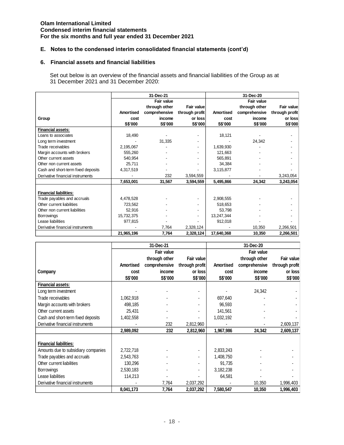## **E. Notes to the condensed interim consolidated financial statements (cont'd)**

### **6. Financial assets and financial liabilities**

Set out below is an overview of the financial assets and financial liabilities of the Group as at 31 December 2021 and 31 December 2020:

|                                    |                  | 31-Dec-21     |                |            | 31-Dec-20     |                |
|------------------------------------|------------------|---------------|----------------|------------|---------------|----------------|
|                                    |                  | Fair value    |                |            | Fair value    |                |
|                                    |                  | through other | Fair value     |            | through other | Fair value     |
|                                    | <b>Amortised</b> | comprehensive | through profit | Amortised  | comprehensive | through profit |
| Group                              | cost             | income        | or loss        | cost       | income        | or loss        |
|                                    | S\$'000          | S\$'000       | S\$'000        | S\$'000    | S\$'000       | S\$'000        |
| <b>Financial assets:</b>           |                  |               |                |            |               |                |
| Loans to associates                | 18,490           |               |                | 18,121     |               |                |
| Long term investment               |                  | 31,335        |                |            | 24,342        |                |
| Trade receivables                  | 2,195,067        |               |                | 1,639,930  |               |                |
| Margin accounts with brokers       | 555,260          |               |                | 121,663    |               |                |
| Other current assets               | 540,954          |               |                | 565,891    |               |                |
| Other non current assets           | 25,711           |               |                | 34,384     |               |                |
| Cash and short-term fixed deposits | 4,317,519        |               |                | 3,115,877  |               |                |
| Derivative financial instruments   |                  | 232           | 3,594,559      |            |               | 3,243,054      |
|                                    | 7,653,001        | 31,567        | 3,594,559      | 5,495,866  | 24,342        | 3,243,054      |
|                                    |                  |               |                |            |               |                |
| <b>Financial liabilities:</b>      |                  |               |                |            |               |                |
| Trade payables and accruals        | 4,478,528        |               |                | 2,908,555  |               |                |
| Other current liabilities          | 723,562          |               |                | 518,653    |               |                |
| Other non current liabilities      | 52,916           |               |                | 53,798     |               |                |
| Borrowings                         | 15,732,375       |               |                | 13,247,344 |               |                |
| Lease liabilities                  | 977,815          |               |                | 912,018    |               |                |
| Derivative financial instruments   |                  | 7,764         | 2,328,124      |            | 10,350        | 2,266,501      |
|                                    | 21,965,196       | 7,764         | 2,328,124      | 17,640,368 | 10,350        | 2,266,501      |

|                                     |           | 31-Dec-21     |                |           | 31-Dec-20     |                |
|-------------------------------------|-----------|---------------|----------------|-----------|---------------|----------------|
|                                     |           | Fair value    |                |           | Fair value    |                |
|                                     |           | through other | Fair value     |           | through other | Fair value     |
|                                     | Amortised | comprehensive | through profit | Amortised | comprehensive | through profit |
| Company                             | cost      | income        | or loss        | cost      | income        | or loss        |
|                                     | S\$'000   | S\$'000       | S\$'000        | S\$'000   | S\$'000       | S\$'000        |
| <b>Financial assets:</b>            |           |               |                |           |               |                |
| Long term investment                |           |               |                |           | 24,342        |                |
| Trade receivables                   | 1,062,918 |               |                | 697,640   |               |                |
| Margin accounts with brokers        | 498,185   |               |                | 96,593    |               |                |
| Other current assets                | 25,431    |               |                | 141,561   |               |                |
| Cash and short-term fixed deposits  | 1,402,558 |               |                | 1,032,192 |               |                |
| Derivative financial instruments    |           | 232           | 2,812,960      |           |               | 2,609,137      |
|                                     | 2,989,092 | 232           | 2,812,960      | 1,967,986 | 24,342        | 2,609,137      |
|                                     |           |               |                |           |               |                |
| <b>Financial liabilities:</b>       |           |               |                |           |               |                |
| Amounts due to subsidiary companies | 2,722,718 |               |                | 2,833,243 |               |                |
| Trade payables and accruals         | 2,543,763 |               |                | 1,408,750 |               |                |
| Other current liabilities           | 130,296   |               |                | 91,735    |               |                |
| <b>Borrowings</b>                   | 2,530,183 |               |                | 3,182,238 |               |                |
| Lease liabilities                   | 114,213   |               |                | 64,581    |               |                |
| Derivative financial instruments    |           | 7,764         | 2,037,292      |           | 10,350        | 1,996,403      |
|                                     | 8,041,173 | 7,764         | 2,037,292      | 7,580,547 | 10,350        | 1,996,403      |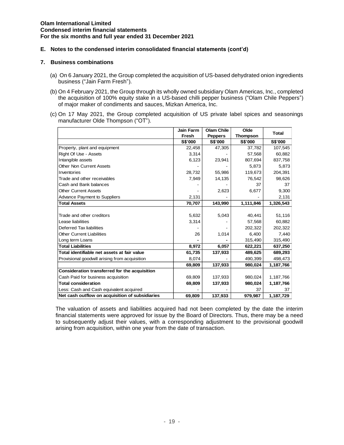## **E. Notes to the condensed interim consolidated financial statements (cont'd)**

#### **7. Business combinations**

- (a) On 6 January 2021, the Group completed the acquisition of US-based dehydrated onion ingredients business ("Jain Farm Fresh").
- (b) On 4 February 2021, the Group through its wholly owned subsidiary Olam Americas, Inc., completed the acquisition of 100% equity stake in a US-based chilli pepper business ("Olam Chile Peppers") of major maker of condiments and sauces, Mizkan America, Inc.
- (c) On 17 May 2021, the Group completed acquisition of US private label spices and seasonings manufacturer Olde Thompson ("OT").

|                                                 | Jain Farm | <b>Olam Chile</b> | Olde            | <b>Total</b> |
|-------------------------------------------------|-----------|-------------------|-----------------|--------------|
|                                                 | Fresh     | <b>Peppers</b>    | <b>Thompson</b> |              |
|                                                 | S\$'000   | <b>S\$'000</b>    | <b>S\$'000</b>  | S\$'000      |
| Property, plant and equipment                   | 22,458    | 47,305            | 37,782          | 107,545      |
| Right Of Use - Assets                           | 3,314     |                   | 57,568          | 60,882       |
| Intangible assets                               | 6,123     | 23,941            | 807,694         | 837,758      |
| <b>Other Non Current Assets</b>                 |           |                   | 5.873           | 5,873        |
| Inventories                                     | 28,732    | 55,986            | 119.673         | 204,391      |
| Trade and other receivables                     | 7,949     | 14,135            | 76,542          | 98,626       |
| Cash and Bank balances                          |           |                   | 37              | 37           |
| <b>Other Current Assets</b>                     |           | 2,623             | 6,677           | 9,300        |
| <b>Advance Payment to Suppliers</b>             | 2,131     |                   |                 | 2,131        |
| <b>Total Assets</b>                             | 70,707    | 143,990           | 1,111,846       | 1,326,543    |
|                                                 |           |                   |                 |              |
| Trade and other creditors                       | 5,632     | 5,043             | 40.441          | 51,116       |
| Lease liabilities                               | 3,314     |                   | 57,568          | 60,882       |
| Deferred Tax liabilities                        |           |                   | 202,322         | 202,322      |
| <b>Other Current Liabilities</b>                | 26        | 1,014             | 6.400           | 7,440        |
| Long term Loans                                 |           |                   | 315,490         | 315,490      |
| <b>Total Liabilities</b>                        | 8,972     | 6,057             | 622,221         | 637,250      |
| Total identifiable net assets at fair value     | 61,735    | 137,933           | 489.625         | 689,293      |
| Provisional goodwill arising from acquisition   | 8,074     |                   | 490,399         | 498,473      |
|                                                 | 69,809    | 137,933           | 980,024         | 1,187,766    |
| Consideration transferred for the acquisition   |           |                   |                 |              |
| Cash Paid for business acquisition              | 69.809    | 137.933           | 980.024         | 1,187,766    |
| <b>Total consideration</b>                      | 69,809    | 137,933           | 980,024         | 1,187,766    |
| Less: Cash and Cash equivalent acquired         |           |                   | 37              | 37           |
| Net cash outflow on acquisition of subsidiaries | 69,809    | 137,933           | 979,987         | 1,187,729    |

The valuation of assets and liabilities acquired had not been completed by the date the interim financial statements were approved for issue by the Board of Directors. Thus, there may be a need to subsequently adjust their values, with a corresponding adjustment to the provisional goodwill arising from acquisition, within one year from the date of transaction.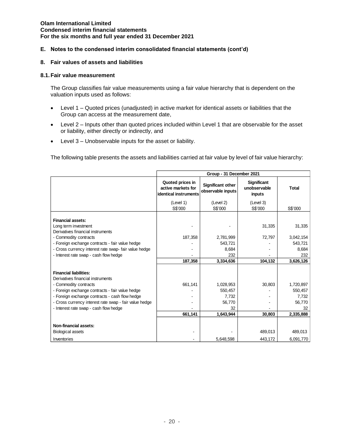## **E. Notes to the condensed interim consolidated financial statements (cont'd)**

#### **8. Fair values of assets and liabilities**

#### **8.1.Fair value measurement**

The Group classifies fair value measurements using a fair value hierarchy that is dependent on the valuation inputs used as follows:

- Level 1 Quoted prices (unadjusted) in active market for identical assets or liabilities that the Group can access at the measurement date,
- Level 2 Inputs other than quoted prices included within Level 1 that are observable for the asset or liability, either directly or indirectly, and
- Level 3 Unobservable inputs for the asset or liability.

The following table presents the assets and liabilities carried at fair value by level of fair value hierarchy:

|                                                                                                                                                                                                                                                                      | Group - 31 December 2021                                        |                                         |                                              |                                                |  |  |
|----------------------------------------------------------------------------------------------------------------------------------------------------------------------------------------------------------------------------------------------------------------------|-----------------------------------------------------------------|-----------------------------------------|----------------------------------------------|------------------------------------------------|--|--|
|                                                                                                                                                                                                                                                                      | Quoted prices in<br>active markets for<br>identical instruments | Significant other<br>observable inputs  | <b>Significant</b><br>unobservable<br>inputs | <b>Total</b>                                   |  |  |
|                                                                                                                                                                                                                                                                      | (Level 1)<br>S\$'000                                            | (Level 2)<br>S\$'000                    | (Level 3)<br>S\$'000                         | S\$'000                                        |  |  |
| <b>Financial assets:</b><br>Long term investment<br>Derivatives financial instruments<br>- Commodity contracts<br>- Foreign exchange contracts - fair value hedge<br>- Cross currency interest rate swap- fair value hedge<br>- Interest rate swap - cash flow hedge | 187,358                                                         | 2,781,999<br>543,721<br>8.684<br>232    | 31,335<br>72,797                             | 31,335<br>3,042,154<br>543,721<br>8,684<br>232 |  |  |
|                                                                                                                                                                                                                                                                      | 187.358                                                         | 3,334,636                               | 104,132                                      | 3,626,126                                      |  |  |
| <b>Financial liabilities:</b><br>Derivatives financial instruments<br>- Commodity contracts<br>- Foreign exchange contracts - fair value hedge<br>- Foreign exchange contracts - cash flow hedge<br>- Cross currency interest rate swap - fair value hedge           | 661,141                                                         | 1,028,953<br>550,457<br>7,732<br>56,770 | 30,803                                       | 1,720,897<br>550,457<br>7,732<br>56,770        |  |  |
| - Interest rate swap - cash flow hedge                                                                                                                                                                                                                               | 661,141                                                         | 32<br>1,643,944                         | 30,803                                       | 32<br>2,335,888                                |  |  |
| Non-financial assets:<br><b>Biological assets</b><br>Inventories                                                                                                                                                                                                     |                                                                 | 5,648,598                               | 489,013<br>443,172                           | 489,013<br>6,091,770                           |  |  |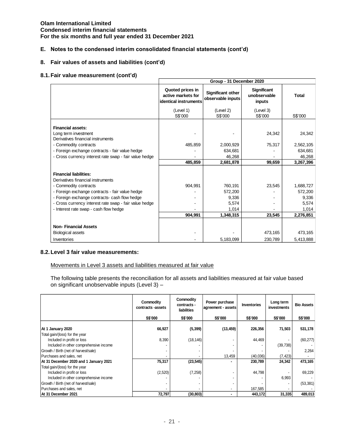## **E. Notes to the condensed interim consolidated financial statements (cont'd)**

## **8. Fair values of assets and liabilities (cont'd)**

## **8.1.Fair value measurement (cont'd)**

|                                                                                                                                                                                                                                                                                                     | Group - 31 December 2020                                        |                                                            |                                              |                                                              |  |  |
|-----------------------------------------------------------------------------------------------------------------------------------------------------------------------------------------------------------------------------------------------------------------------------------------------------|-----------------------------------------------------------------|------------------------------------------------------------|----------------------------------------------|--------------------------------------------------------------|--|--|
|                                                                                                                                                                                                                                                                                                     | Quoted prices in<br>active markets for<br>identical instruments | Significant other<br>observable inputs                     | <b>Significant</b><br>unobservable<br>inputs | <b>Total</b>                                                 |  |  |
|                                                                                                                                                                                                                                                                                                     | (Level 1)<br>S\$'000                                            | (Level 2)<br>S\$'000                                       | (Level 3)<br>S\$'000                         | S\$'000                                                      |  |  |
| <b>Financial assets:</b><br>Long term investment<br>Derivatives financial instruments                                                                                                                                                                                                               |                                                                 |                                                            | 24,342                                       | 24,342                                                       |  |  |
| - Commodity contracts<br>- Foreign exchange contracts - fair value hedge<br>- Cross currency interest rate swap - fair value hedge                                                                                                                                                                  | 485,859<br>485,859                                              | 2,000,929<br>634.681<br>46,268<br>2,681,878                | 75,317<br>99,659                             | 2,562,105<br>634,681<br>46,268<br>3,267,396                  |  |  |
| <b>Financial liabilities:</b><br>Derivatives financial instruments<br>- Commodity contracts<br>- Foreign exchange contracts - fair value hedge<br>- Foreign exchange contracts- cash flow hedge<br>- Cross currency interest rate swap - fair value hedge<br>- Interest rate swap - cash flow hedge | 904,991<br>904,991                                              | 760,191<br>572,200<br>9,336<br>5,574<br>1,014<br>1,348,315 | 23,545<br>23,545                             | 1,688,727<br>572,200<br>9,336<br>5,574<br>1,014<br>2,276,851 |  |  |
| <b>Non-Financial Assets</b><br><b>Biological assets</b>                                                                                                                                                                                                                                             |                                                                 |                                                            | 473,165                                      | 473,165                                                      |  |  |
| Inventories                                                                                                                                                                                                                                                                                         |                                                                 | 5,183,099                                                  | 230,789                                      | 5,413,888                                                    |  |  |

#### **8.2.Level 3 fair value measurements:**

Movements in Level 3 assets and liabilities measured at fair value

The following table presents the reconciliation for all assets and liabilities measured at fair value based on significant unobservable inputs (Level 3) –

|                                        | Commodity<br>contracts -assets | Commodity<br>contracts -<br>liabilities | Power purchase<br>agreement - assets | <b>Inventories</b> | Long term<br>investments | <b>Bio Assets</b> |
|----------------------------------------|--------------------------------|-----------------------------------------|--------------------------------------|--------------------|--------------------------|-------------------|
|                                        | S\$'000                        | S\$'000                                 | S\$'000                              | <b>S\$'000</b>     | S\$'000                  | S\$'000           |
|                                        |                                |                                         |                                      |                    |                          |                   |
| At 1 January 2020                      | 66,927                         | (5, 399)                                | (13, 459)                            | 226,356            | 71,503                   | 531,178           |
| Total gain/(loss) for the year         |                                |                                         |                                      |                    |                          |                   |
| Included in profit or loss             | 8,390                          | (18, 146)                               |                                      | 44,469             |                          | (60, 277)         |
| Included in other comprehensive income |                                |                                         |                                      |                    | (39,738)                 |                   |
| Growth / Birth (net of harvest/sale)   | ٠                              |                                         |                                      |                    |                          | 2,264             |
| Purchases and sales, net               |                                |                                         | 13,459                               | (40,036)           | (7, 423)                 |                   |
| At 31 December 2020 and 1 January 2021 | 75,317                         | (23, 545)                               | ۰                                    | 230,789            | 24,342                   | 473,165           |
| Total gain/(loss) for the year         |                                |                                         |                                      |                    |                          |                   |
| Included in profit or loss             | (2,520)                        | (7, 258)                                |                                      | 44,798             |                          | 69,229            |
| Included in other comprehensive income |                                |                                         |                                      |                    | 6,993                    |                   |
| Growth / Birth (net of harvest/sale)   |                                |                                         |                                      |                    |                          | (53, 381)         |
| Purchases and sales, net               |                                |                                         | $\overline{\phantom{a}}$             | 167,585            |                          |                   |
| At 31 December 2021                    | 72,797                         | (30, 803)                               | ۰                                    | 443,172            | 31,335                   | 489,013           |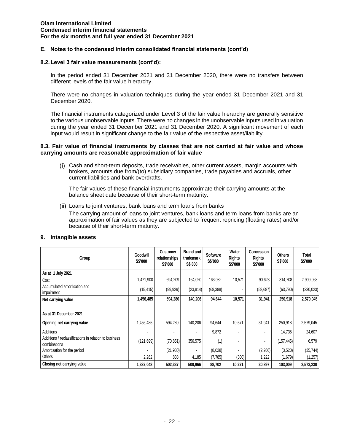## **E. Notes to the condensed interim consolidated financial statements (cont'd)**

#### **8.2.Level 3 fair value measurements (cont'd):**

In the period ended 31 December 2021 and 31 December 2020, there were no transfers between different levels of the fair value hierarchy.

There were no changes in valuation techniques during the year ended 31 December 2021 and 31 December 2020.

The financial instruments categorized under Level 3 of the fair value hierarchy are generally sensitive to the various unobservable inputs. There were no changes in the unobservable inputs used in valuation during the year ended 31 December 2021 and 31 December 2020. A significant movement of each input would result in significant change to the fair value of the respective asset/liability.

#### **8.3. Fair value of financial instruments by classes that are not carried at fair value and whose carrying amounts are reasonable approximation of fair value**

Cash and short-term deposits, trade receivables, other current assets, margin accounts with brokers, amounts due from/(to) subsidiary companies, trade payables and accruals, other current liabilities and bank overdrafts.

The fair values of these financial instruments approximate their carrying amounts at the balance sheet date because of their short-term maturity.

Loans to joint ventures, bank loans and term loans from banks

The carrying amount of loans to joint ventures, bank loans and term loans from banks are an approximation of fair values as they are subjected to frequent repricing (floating rates) and/or because of their short-term maturity.

| Group                                                                 | Goodwill<br><b>S\$'000</b> | Customer<br>relationships<br>S\$'000 | <b>Brand and</b><br>trademark<br>S\$'000 | <b>Software</b><br>S\$'000 | Water<br><b>Rights</b><br><b>S\$'000</b> | Concession<br><b>Rights</b><br>S\$'000 | <b>Others</b><br><b>S\$'000</b> | Total<br>S\$'000 |
|-----------------------------------------------------------------------|----------------------------|--------------------------------------|------------------------------------------|----------------------------|------------------------------------------|----------------------------------------|---------------------------------|------------------|
| As at 1 July 2021                                                     |                            |                                      |                                          |                            |                                          |                                        |                                 |                  |
| Cost                                                                  | 1,471,900                  | 694,209                              | 164,020                                  | 163,032                    | 10,571                                   | 90,628                                 | 314,708                         | 2,909,068        |
| Accumulated amortisation and<br>impairment                            | (15, 415)                  | (99, 929)                            | (23, 814)                                | (68, 388)                  |                                          | (58, 687)                              | (63,790)                        | (330, 023)       |
| Net carrying value                                                    | 1,456,485                  | 594,280                              | 140,206                                  | 94,644                     | 10,571                                   | 31,941                                 | 250,918                         | 2,579,045        |
| As at 31 December 2021<br>Opening net carrying value                  | 1,456,485                  | 594,280                              | 140,206                                  | 94,644                     | 10,571                                   | 31,941                                 | 250,918                         | 2,579,045        |
| Additions                                                             |                            |                                      |                                          | 9,872                      |                                          |                                        | 14,735                          | 24,607           |
| Additions / reclassifications in relation to business<br>combinations | (121, 699)                 | (70, 851)                            | 356,575                                  | (1)                        |                                          |                                        | (157, 445)                      | 6,579            |
| Amortisation for the period                                           |                            | (21, 930)                            |                                          | (8,028)                    |                                          | (2,266)                                | (3,520)                         | (35, 744)        |
| <b>Others</b>                                                         | 2,262                      | 838                                  | 4,185                                    | (7, 785)                   | (300)                                    | 1,222                                  | (1,679)                         | (1,257)          |
| Closing net carrying value                                            | 1,337,048                  | 502,337                              | 500,966                                  | 88,702                     | 10,271                                   | 30,897                                 | 103,009                         | 2,573,230        |

#### **9. Intangible assets**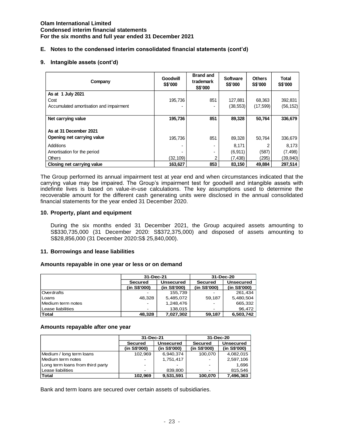## **E. Notes to the condensed interim consolidated financial statements (cont'd)**

### **9. Intangible assets (cont'd)**

| Company                                 | Goodwill<br>S\$'000 | <b>Brand and</b><br>trademark<br>S\$'000 | <b>Software</b><br>S\$'000 | <b>Others</b><br><b>S\$'000</b> | <b>Total</b><br>S\$'000 |
|-----------------------------------------|---------------------|------------------------------------------|----------------------------|---------------------------------|-------------------------|
| As at 1 July 2021                       |                     |                                          |                            |                                 |                         |
| Cost                                    | 195,736             | 851                                      | 127,881                    | 68,363                          | 392,831                 |
| Accumulated amortisation and impairment |                     |                                          | (38, 553)                  | (17, 599)                       | (56, 152)               |
|                                         |                     |                                          |                            |                                 |                         |
| Net carrying value                      | 195.736             | 851                                      | 89,328                     | 50.764                          | 336,679                 |
| As at 31 December 2021                  |                     |                                          |                            |                                 |                         |
| Opening net carrying value              | 195,736             | 851                                      | 89,328                     | 50,764                          | 336,679                 |
| Additions                               |                     |                                          | 8.171                      |                                 | 8.173                   |
| Amortisation for the period             |                     |                                          | (6, 911)                   | (587)                           | (7, 498)                |
| <b>Others</b>                           | (32,109)            | $\overline{2}$                           | (7, 438)                   | (295)                           | (39, 840)               |
| Closing net carrying value              | 163.627             | 853                                      | 83,150                     | 49.884                          | 297,514                 |

The Group performed its annual impairment test at year end and when circumstances indicated that the carrying value may be impaired. The Group's impairment test for goodwill and intangible assets with indefinite lives is based on value-in-use calculations. The key assumptions used to determine the recoverable amount for the different cash generating units were disclosed in the annual consolidated financial statements for the year ended 31 December 2020.

#### **10. Property, plant and equipment**

During the six months ended 31 December 2021, the Group acquired assets amounting to S\$330,735,000 (31 December 2020: S\$372,375,000) and disposed of assets amounting to S\$28,856,000 (31 December 2020:S\$ 25,840,000).

#### **11. Borrowings and lease liabilities**

#### **Amounts repayable in one year or less or on demand**

|                   | 31-Dec-21      |                  | 31-Dec-20      |              |  |
|-------------------|----------------|------------------|----------------|--------------|--|
|                   | <b>Secured</b> | <b>Unsecured</b> | <b>Secured</b> | Unsecured    |  |
|                   | (in S\$'000)   | (in S\$'000)     | (in S\$'000)   | (in S\$'000) |  |
| <b>Overdrafts</b> |                | 155.739          |                | 261.434      |  |
| l Loans           | 48.328         | 5,485,072        | 59.187         | 5,480,504    |  |
| Medium term notes |                | 1,248,476        |                | 665,332      |  |
| Lease liabilities |                | 138.015          |                | 96.472       |  |
| <b>Total</b>      | 48.328         | 7,027,302        | 59.187         | 6,503,742    |  |

### **Amounts repayable after one year**

|                                  | 31-Dec-21    |                  | 31-Dec-20    |                  |
|----------------------------------|--------------|------------------|--------------|------------------|
|                                  | Secured      | <b>Unsecured</b> | Secured      | <b>Unsecured</b> |
|                                  | (in S\$'000) | (in S\$'000)     | (in S\$'000) | (in S\$'000)     |
| Medium / long term loans         | 102,969      | 6,940,374        | 100.070      | 4,082,015        |
| Medium term notes                |              | 1,751,417        |              | 2,597,106        |
| Long term loans from third party | -            |                  |              | 1.696            |
| Lease liabilities                |              | 839,800          |              | 815,546          |
| <b>Total</b>                     | 102,969      | 9,531,591        | 100.070      | 7,496,363        |

Bank and term loans are secured over certain assets of subsidiaries.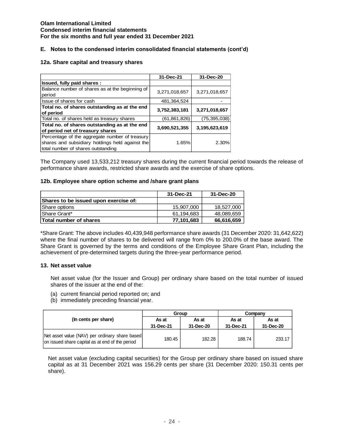## **E. Notes to the condensed interim consolidated financial statements (cont'd)**

### **12a. Share capital and treasury shares**

|                                                 | 31-Dec-21     | 31-Dec-20     |
|-------------------------------------------------|---------------|---------------|
| Issued, fully paid shares:                      |               |               |
| Balance number of shares as at the beginning of |               |               |
| period                                          | 3,271,018,657 | 3,271,018,657 |
| Issue of shares for cash                        | 481.364.524   |               |
| Total no. of shares outstanding as at the end   |               |               |
| of period                                       | 3,752,383,181 | 3,271,018,657 |
| Total no. of shares held as treasury shares     | (61,861,826)  | (75,395,038)  |
| Total no. of shares outstanding as at the end   | 3.690,521,355 | 3,195,623,619 |
| of period net of treasury shares                |               |               |
| Percentage of the aggregate number of treasury  |               |               |
| shares and subsidiary holdings held against the | 1.65%         | 2.30%         |
| total number of shares outstanding              |               |               |

The Company used 13,533,212 treasury shares during the current financial period towards the release of performance share awards, restricted share awards and the exercise of share options.

#### **12b. Employee share option scheme and /share grant plans**

|                                       | 31-Dec-21  | 31-Dec-20  |
|---------------------------------------|------------|------------|
| Shares to be issued upon exercise of: |            |            |
| Share options                         | 15,907,000 | 18,527,000 |
| Share Grant*                          | 61.194.683 | 48.089.659 |
| Total number of shares                | 77,101,683 | 66,616,659 |

\*Share Grant: The above includes 40,439,948 performance share awards (31 December 2020: 31,642,622) where the final number of shares to be delivered will range from 0% to 200.0% of the base award. The Share Grant is governed by the terms and conditions of the Employee Share Grant Plan, including the achievement of pre-determined targets during the three-year performance period.

#### **13. Net asset value**

Net asset value (for the Issuer and Group) per ordinary share based on the total number of issued shares of the issuer at the end of the:

- (a) current financial period reported on; and
- (b) immediately preceding financial year.

|                                                                                                   | Group              |                    | Company            |                    |
|---------------------------------------------------------------------------------------------------|--------------------|--------------------|--------------------|--------------------|
| (In cents per share)                                                                              | As at<br>31-Dec-21 | As at<br>31-Dec-20 | As at<br>31-Dec-21 | As at<br>31-Dec-20 |
| Net asset value (NAV) per ordinary share based<br>on issued share capital as at end of the period | 180.45             | 182.28             | 188.74             | 233.17             |

Net asset value (excluding capital securities) for the Group per ordinary share based on issued share capital as at 31 December 2021 was 156.29 cents per share (31 December 2020: 150.31 cents per share).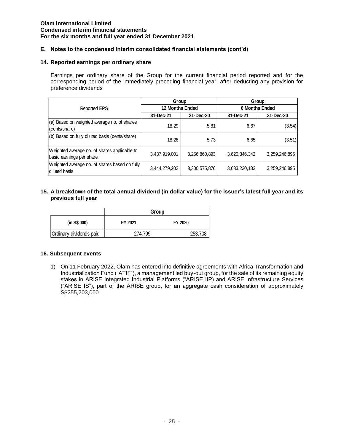## **E. Notes to the condensed interim consolidated financial statements (cont'd)**

## **14. Reported earnings per ordinary share**

Earnings per ordinary share of the Group for the current financial period reported and for the corresponding period of the immediately preceding financial year, after deducting any provision for preference dividends

|                                                                          | Group                  |               | Group                 |               |
|--------------------------------------------------------------------------|------------------------|---------------|-----------------------|---------------|
| Reported EPS                                                             | <b>12 Months Ended</b> |               | <b>6 Months Ended</b> |               |
|                                                                          | 31-Dec-21              | 31-Dec-20     | 31-Dec-21             | 31-Dec-20     |
| (a) Based on weighted average no. of shares<br>(cents/share)             | 18.29                  | 5.81          | 6.67                  | (3.54)        |
| (b) Based on fully diluted basis (cents/share)                           | 18.26                  | 5.73          | 6.65                  | (3.51)        |
| Weighted average no. of shares applicable to<br>basic earnings per share | 3,437,919,001          | 3,256,860,893 | 3,620,346,342         | 3,259,246,895 |
| Weighted average no. of shares based on fully<br>diluted basis           | 3,444,279,202          | 3,300,575,876 | 3,633,230,182         | 3,259,246,895 |

## **15. A breakdown of the total annual dividend (in dollar value) for the issuer's latest full year and its previous full year**

|                         | Group   |         |  |  |
|-------------------------|---------|---------|--|--|
| (in S\$'000)            | FY 2021 | FY 2020 |  |  |
| Ordinary dividends paid | 274.799 | 253,708 |  |  |

#### **16. Subsequent events**

1) On 11 February 2022, Olam has entered into definitive agreements with Africa Transformation and Industrialization Fund ("ATIF"), a management led buy-out group, for the sale of its remaining equity stakes in ARISE Integrated Industrial Platforms ("ARISE IIP) and ARISE Infrastructure Services ("ARISE IS"), part of the ARISE group, for an aggregate cash consideration of approximately S\$255,203,000.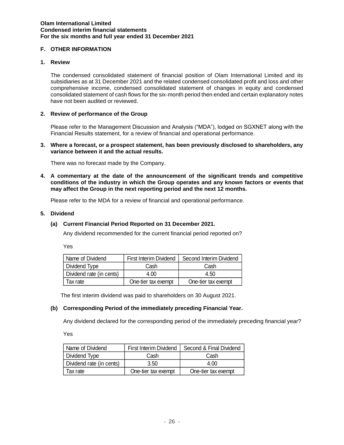## **F. OTHER INFORMATION**

## **1. Review**

The condensed consolidated statement of financial position of Olam International Limited and its subsidiaries as at 31 December 2021 and the related condensed consolidated profit and loss and other comprehensive income, condensed consolidated statement of changes in equity and condensed consolidated statement of cash flows for the six-month period then ended and certain explanatory notes have not been audited or reviewed.

## **2. Review of performance of the Group**

Please refer to the Management Discussion and Analysis ("MDA"), lodged on SGXNET along with the Financial Results statement, for a review of financial and operational performance.

**3. Where a forecast, or a prospect statement, has been previously disclosed to shareholders, any variance between it and the actual results.**

There was no forecast made by the Company.

**4. A commentary at the date of the announcement of the significant trends and competitive conditions of the industry in which the Group operates and any known factors or events that may affect the Group in the next reporting period and the next 12 months.**

Please refer to the MDA for a review of financial and operational performance.

## **5. Dividend**

## **(a) Current Financial Period Reported on 31 December 2021.**

Any dividend recommended for the current financial period reported on?

Yes

| Name of Dividend         | First Interim Dividend | Second Interim Dividend |
|--------------------------|------------------------|-------------------------|
| Dividend Type            | Cash                   | Cash                    |
| Dividend rate (in cents) | 4.00                   | 4.50                    |
| Tax rate                 | One-tier tax exempt    | One-tier tax exempt     |

The first interim dividend was paid to shareholders on 30 August 2021.

## **(b) Corresponding Period of the immediately preceding Financial Year.**

Any dividend declared for the corresponding period of the immediately preceding financial year?

Yes

| Name of Dividend         | First Interim Dividend | Second & Final Dividend |  |
|--------------------------|------------------------|-------------------------|--|
| Dividend Type<br>Cash    |                        | Cash                    |  |
| Dividend rate (in cents) | 3.50                   | 4.00                    |  |
| Tax rate                 | One-tier tax exempt    | One-tier tax exempt     |  |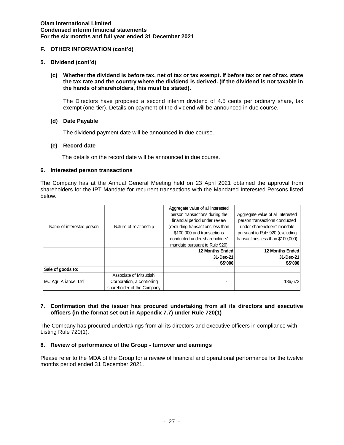## **F. OTHER INFORMATION (cont'd)**

## **5. Dividend (cont'd)**

**(c) Whether the dividend is before tax, net of tax or tax exempt. If before tax or net of tax, state the tax rate and the country where the dividend is derived. (If the dividend is not taxable in the hands of shareholders, this must be stated).** 

The Directors have proposed a second interim dividend of 4.5 cents per ordinary share, tax exempt (one-tier). Details on payment of the dividend will be announced in due course.

## **(d) Date Payable**

The dividend payment date will be announced in due course.

## **(e) Record date**

The details on the record date will be announced in due course.

## **6. Interested person transactions**

The Company has at the Annual General Meeting held on 23 April 2021 obtained the approval from shareholders for the IPT Mandate for recurrent transactions with the Mandated Interested Persons listed below.

| Name of interested person | Nature of relationship     | Aggregate value of all interested<br>person transactions during the<br>financial period under review<br>excluding transactions less than<br>\$100,000 and transactions<br>conducted under shareholders'<br>mandate pursuant to Rule 920) | Aggregate value of all interested<br>person transactions conducted<br>under shareholders' mandate<br>pursuant to Rule 920 (excluding<br>transactions less than \$100,000) |
|---------------------------|----------------------------|------------------------------------------------------------------------------------------------------------------------------------------------------------------------------------------------------------------------------------------|---------------------------------------------------------------------------------------------------------------------------------------------------------------------------|
|                           |                            | <b>12 Months Ended</b>                                                                                                                                                                                                                   | <b>12 Months Endedl</b>                                                                                                                                                   |
|                           |                            | 31-Dec-21                                                                                                                                                                                                                                | 31-Dec-21                                                                                                                                                                 |
|                           |                            | S\$'000                                                                                                                                                                                                                                  | S\$'000                                                                                                                                                                   |
| Sale of goods to:         |                            |                                                                                                                                                                                                                                          |                                                                                                                                                                           |
|                           | Associate of Mitsubishi    |                                                                                                                                                                                                                                          |                                                                                                                                                                           |
| MC Agri Alliance, Ltd     | Corporation, a controlling |                                                                                                                                                                                                                                          | 186,672                                                                                                                                                                   |
|                           | shareholder of the Company |                                                                                                                                                                                                                                          |                                                                                                                                                                           |

## **7. Confirmation that the issuer has procured undertaking from all its directors and executive officers (in the format set out in Appendix 7.7) under Rule 720(1)**

The Company has procured undertakings from all its directors and executive officers in compliance with Listing Rule 720(1).

## **8. Review of performance of the Group - turnover and earnings**

Please refer to the MDA of the Group for a review of financial and operational performance for the twelve months period ended 31 December 2021.